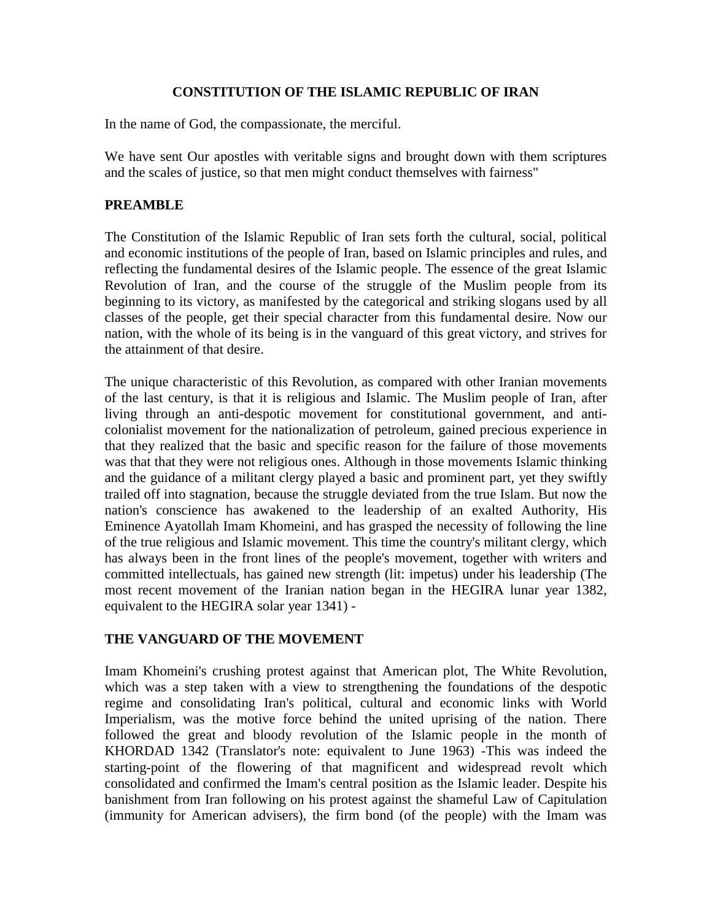## **CONSTITUTION OF THE ISLAMIC REPUBLIC OF IRAN**

In the name of God, the compassionate, the merciful.

 and the scales of justice, so that men might conduct themselves with fairness" We have sent Our apostles with veritable signs and brought down with them scriptures

## **PREAMBLE**

 beginning to its victory, as manifested by the categorical and striking slogans used by all The Constitution of the Islamic Republic of Iran sets forth the cultural, social, political and economic institutions of the people of Iran, based on Islamic principles and rules, and reflecting the fundamental desires of the Islamic people. The essence of the great Islamic Revolution of Iran, and the course of the struggle of the Muslim people from its classes of the people, get their special character from this fundamental desire. Now our nation, with the whole of its being is in the vanguard of this great victory, and strives for the attainment of that desire.

The unique characteristic of this Revolution, as compared with other Iranian movements of the last century, is that it is religious and Islamic. The Muslim people of Iran, after living through an anti-despotic movement for constitutional government, and anticolonialist movement for the nationalization of petroleum, gained precious experience in that they realized that the basic and specific reason for the failure of those movements was that that they were not religious ones. Although in those movements Islamic thinking and the guidance of a militant clergy played a basic and prominent part, yet they swiftly trailed off into stagnation, because the struggle deviated from the true Islam. But now the nation's conscience has awakened to the leadership of an exalted Authority, His Eminence Ayatollah Imam Khomeini, and has grasped the necessity of following the line of the true religious and Islamic movement. This time the country's militant clergy, which has always been in the front lines of the people's movement, together with writers and committed intellectuals, has gained new strength (lit: impetus) under his leadership (The most recent movement of the Iranian nation began in the HEGIRA lunar year 1382, equivalent to the HEGIRA solar year 1341) -

### **THE VANGUARD OF THE MOVEMENT**

Imam Khomeini's crushing protest against that American plot, The White Revolution, which was a step taken with a view to strengthening the foundations of the despotic regime and consolidating Iran's political, cultural and economic links with World Imperialism, was the motive force behind the united uprising of the nation. There followed the great and bloody revolution of the Islamic people in the month of KHORDAD 1342 (Translator's note: equivalent to June 1963) -This was indeed the starting-point of the flowering of that magnificent and widespread revolt which consolidated and confirmed the Imam's central position as the Islamic leader. Despite his banishment from Iran following on his protest against the shameful Law of Capitulation (immunity for American advisers), the firm bond (of the people) with the Imam was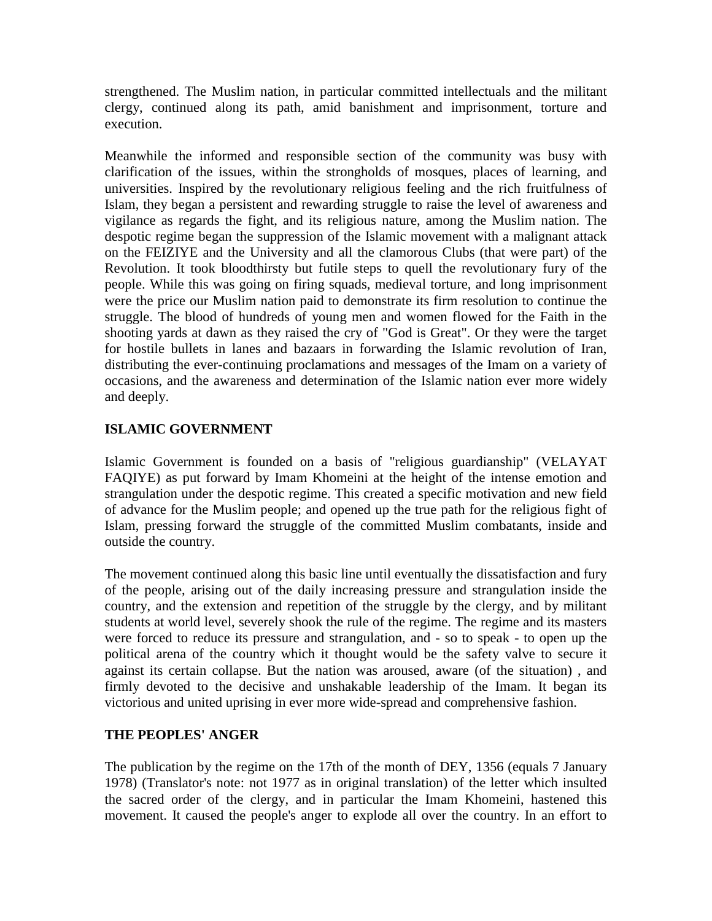strengthened. The Muslim nation, in particular committed intellectuals and the militant clergy, continued along its path, amid banishment and imprisonment, torture and execution.

 Revolution. It took bloodthirsty but futile steps to quell the revolutionary fury of the shooting yards at dawn as they raised the cry of "God is Great". Or they were the target Meanwhile the informed and responsible section of the community was busy with clarification of the issues, within the strongholds of mosques, places of learning, and universities. Inspired by the revolutionary religious feeling and the rich fruitfulness of Islam, they began a persistent and rewarding struggle to raise the level of awareness and vigilance as regards the fight, and its religious nature, among the Muslim nation. The despotic regime began the suppression of the Islamic movement with a malignant attack on the FEIZIYE and the University and all the clamorous Clubs (that were part) of the people. While this was going on firing squads, medieval torture, and long imprisonment were the price our Muslim nation paid to demonstrate its firm resolution to continue the struggle. The blood of hundreds of young men and women flowed for the Faith in the for hostile bullets in lanes and bazaars in forwarding the Islamic revolution of Iran, distributing the ever-continuing proclamations and messages of the Imam on a variety of occasions, and the awareness and determination of the Islamic nation ever more widely and deeply.

# **ISLAMIC GOVERNMENT**

Islamic Government is founded on a basis of "religious guardianship" (VELAYAT FAQIYE) as put forward by Imam Khomeini at the height of the intense emotion and strangulation under the despotic regime. This created a specific motivation and new field of advance for the Muslim people; and opened up the true path for the religious fight of Islam, pressing forward the struggle of the committed Muslim combatants, inside and outside the country.

 firmly devoted to the decisive and unshakable leadership of the Imam. It began its The movement continued along this basic line until eventually the dissatisfaction and fury of the people, arising out of the daily increasing pressure and strangulation inside the country, and the extension and repetition of the struggle by the clergy, and by militant students at world level, severely shook the rule of the regime. The regime and its masters were forced to reduce its pressure and strangulation, and - so to speak - to open up the political arena of the country which it thought would be the safety valve to secure it against its certain collapse. But the nation was aroused, aware (of the situation) , and victorious and united uprising in ever more wide-spread and comprehensive fashion.

# **THE PEOPLES' ANGER**

The publication by the regime on the 17th of the month of DEY, 1356 (equals 7 January 1978) (Translator's note: not 1977 as in original translation) of the letter which insulted the sacred order of the clergy, and in particular the Imam Khomeini, hastened this movement. It caused the people's anger to explode all over the country. In an effort to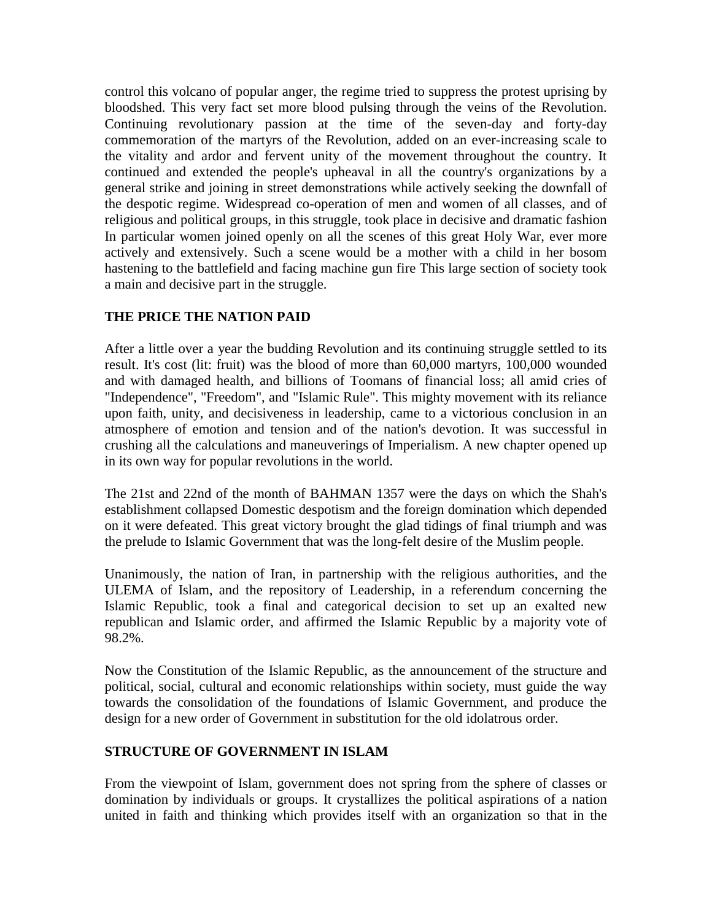control this volcano of popular anger, the regime tried to suppress the protest uprising by bloodshed. This very fact set more blood pulsing through the veins of the Revolution. Continuing revolutionary passion at the time of the seven-day and forty-day commemoration of the martyrs of the Revolution, added on an ever-increasing scale to the vitality and ardor and fervent unity of the movement throughout the country. It continued and extended the people's upheaval in all the country's organizations by a general strike and joining in street demonstrations while actively seeking the downfall of the despotic regime. Widespread co-operation of men and women of all classes, and of religious and political groups, in this struggle, took place in decisive and dramatic fashion In particular women joined openly on all the scenes of this great Holy War, ever more actively and extensively. Such a scene would be a mother with a child in her bosom hastening to the battlefield and facing machine gun fire This large section of society took a main and decisive part in the struggle.

# **THE PRICE THE NATION PAID**

After a little over a year the budding Revolution and its continuing struggle settled to its result. It's cost (lit: fruit) was the blood of more than 60,000 martyrs, 100,000 wounded and with damaged health, and billions of Toomans of financial loss; all amid cries of "Independence", "Freedom", and "Islamic Rule". This mighty movement with its reliance upon faith, unity, and decisiveness in leadership, came to a victorious conclusion in an atmosphere of emotion and tension and of the nation's devotion. It was successful in crushing all the calculations and maneuverings of Imperialism. A new chapter opened up in its own way for popular revolutions in the world.

the prelude to Islamic Government that was the long-felt desire of the Muslim people. The 21st and 22nd of the month of BAHMAN 1357 were the days on which the Shah's establishment collapsed Domestic despotism and the foreign domination which depended on it were defeated. This great victory brought the glad tidings of final triumph and was

 republican and Islamic order, and affirmed the Islamic Republic by a majority vote of Unanimously, the nation of Iran, in partnership with the religious authorities, and the ULEMA of Islam, and the repository of Leadership, in a referendum concerning the Islamic Republic, took a final and categorical decision to set up an exalted new 98.2%.

 design for a new order of Government in substitution for the old idolatrous order. Now the Constitution of the Islamic Republic, as the announcement of the structure and political, social, cultural and economic relationships within society, must guide the way towards the consolidation of the foundations of Islamic Government, and produce the

# **STRUCTURE OF GOVERNMENT IN ISLAM**

From the viewpoint of Islam, government does not spring from the sphere of classes or domination by individuals or groups. It crystallizes the political aspirations of a nation united in faith and thinking which provides itself with an organization so that in the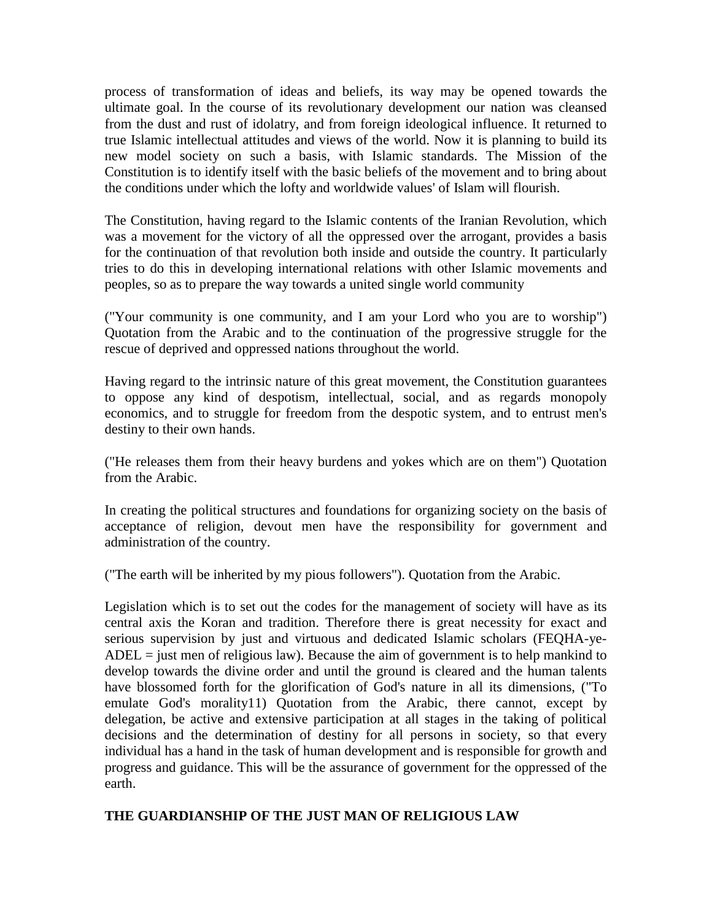process of transformation of ideas and beliefs, its way may be opened towards the ultimate goal. In the course of its revolutionary development our nation was cleansed from the dust and rust of idolatry, and from foreign ideological influence. It returned to true Islamic intellectual attitudes and views of the world. Now it is planning to build its new model society on such a basis, with Islamic standards. The Mission of the Constitution is to identify itself with the basic beliefs of the movement and to bring about the conditions under which the lofty and worldwide values' of Islam will flourish.

peoples, so as to prepare the way towards a united single world community The Constitution, having regard to the Islamic contents of the Iranian Revolution, which was a movement for the victory of all the oppressed over the arrogant, provides a basis for the continuation of that revolution both inside and outside the country. It particularly tries to do this in developing international relations with other Islamic movements and

 peoples, so as to prepare the way towards a united single world community ("Your community is one community, and I am your Lord who you are to worship") Quotation from the Arabic and to the continuation of the progressive struggle for the rescue of deprived and oppressed nations throughout the world.

Having regard to the intrinsic nature of this great movement, the Constitution guarantees to oppose any kind of despotism, intellectual, social, and as regards monopoly economics, and to struggle for freedom from the despotic system, and to entrust men's destiny to their own hands.

("He releases them from their heavy burdens and yokes which are on them") Quotation from the Arabic.

 acceptance of religion, devout men have the responsibility for government and administration of the country. In creating the political structures and foundations for organizing society on the basis of

("The earth will be inherited by my pious followers"). Quotation from the Arabic.

 Legislation which is to set out the codes for the management of society will have as its central axis the Koran and tradition. Therefore there is great necessity for exact and serious supervision by just and virtuous and dedicated Islamic scholars (FEQHA-ye- $ADEL =$  just men of religious law). Because the aim of government is to help mankind to develop towards the divine order and until the ground is cleared and the human talents have blossomed forth for the glorification of God's nature in all its dimensions, ("To emulate God's morality11) Quotation from the Arabic, there cannot, except by delegation, be active and extensive participation at all stages in the taking of political decisions and the determination of destiny for all persons in society, so that every individual has a hand in the task of human development and is responsible for growth and progress and guidance. This will be the assurance of government for the oppressed of the earth.

# **THE GUARDIANSHIP OF THE JUST MAN OF RELIGIOUS LAW**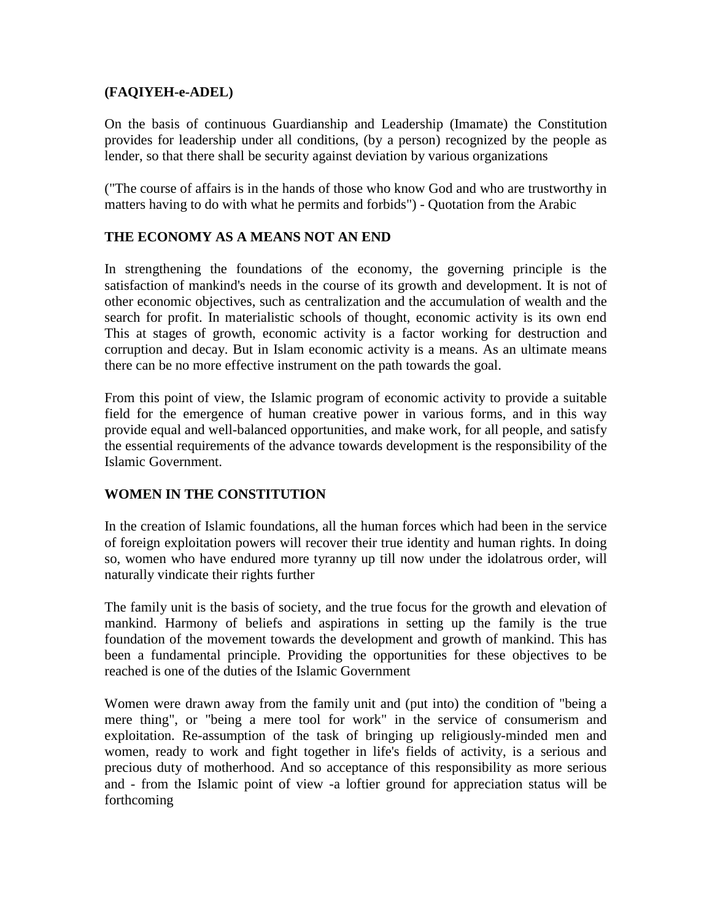# **(FAQIYEH-e-ADEL)**

On the basis of continuous Guardianship and Leadership (Imamate) the Constitution provides for leadership under all conditions, (by a person) recognized by the people as lender, so that there shall be security against deviation by various organizations

 matters having to do with what he permits and forbids") - Quotation from the Arabic ("The course of affairs is in the hands of those who know God and who are trustworthy in

# **THE ECONOMY AS A MEANS NOT AN END**

In strengthening the foundations of the economy, the governing principle is the satisfaction of mankind's needs in the course of its growth and development. It is not of other economic objectives, such as centralization and the accumulation of wealth and the search for profit. In materialistic schools of thought, economic activity is its own end This at stages of growth, economic activity is a factor working for destruction and corruption and decay. But in Islam economic activity is a means. As an ultimate means there can be no more effective instrument on the path towards the goal.

From this point of view, the Islamic program of economic activity to provide a suitable field for the emergence of human creative power in various forms, and in this way provide equal and well-balanced opportunities, and make work, for all people, and satisfy the essential requirements of the advance towards development is the responsibility of the Islamic Government.

# **WOMEN IN THE CONSTITUTION**

In the creation of Islamic foundations, all the human forces which had been in the service of foreign exploitation powers will recover their true identity and human rights. In doing so, women who have endured more tyranny up till now under the idolatrous order, will naturally vindicate their rights further

reached is one of the duties of the Islamic Government The family unit is the basis of society, and the true focus for the growth and elevation of mankind. Harmony of beliefs and aspirations in setting up the family is the true foundation of the movement towards the development and growth of mankind. This has been a fundamental principle. Providing the opportunities for these objectives to be

 forthcoming Women were drawn away from the family unit and (put into) the condition of "being a mere thing", or "being a mere tool for work" in the service of consumerism and exploitation. Re-assumption of the task of bringing up religiously-minded men and women, ready to work and fight together in life's fields of activity, is a serious and precious duty of motherhood. And so acceptance of this responsibility as more serious and - from the Islamic point of view -a loftier ground for appreciation status will be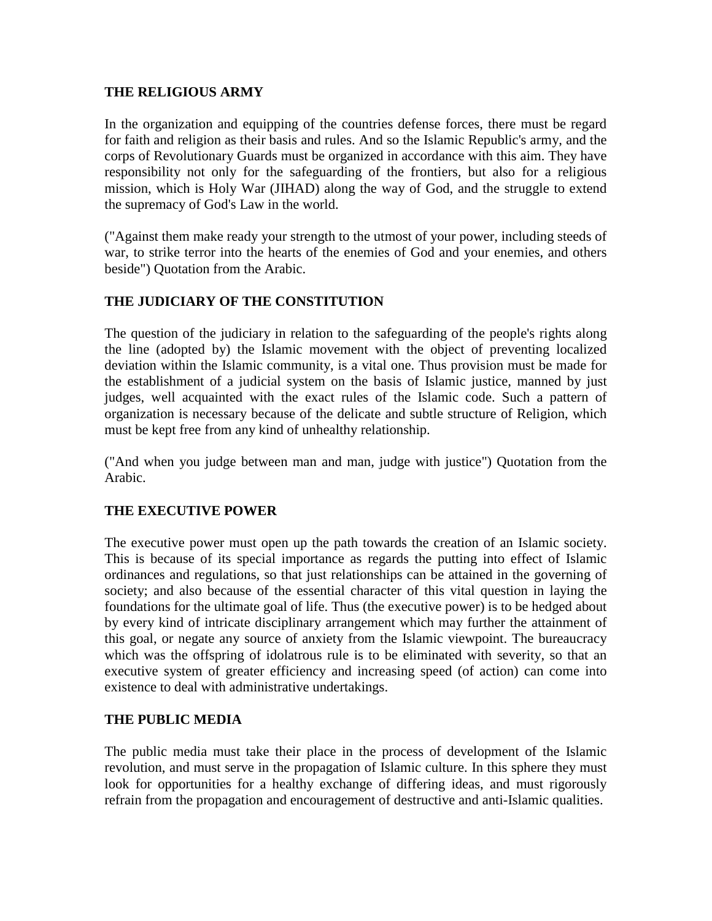## **THE RELIGIOUS ARMY**

In the organization and equipping of the countries defense forces, there must be regard for faith and religion as their basis and rules. And so the Islamic Republic's army, and the corps of Revolutionary Guards must be organized in accordance with this aim. They have responsibility not only for the safeguarding of the frontiers, but also for a religious mission, which is Holy War (JIHAD) along the way of God, and the struggle to extend the supremacy of God's Law in the world.

("Against them make ready your strength to the utmost of your power, including steeds of war, to strike terror into the hearts of the enemies of God and your enemies, and others beside") Quotation from the Arabic.

# **THE JUDICIARY OF THE CONSTITUTION**

The question of the judiciary in relation to the safeguarding of the people's rights along the line (adopted by) the Islamic movement with the object of preventing localized deviation within the Islamic community, is a vital one. Thus provision must be made for the establishment of a judicial system on the basis of Islamic justice, manned by just judges, well acquainted with the exact rules of the Islamic code. Such a pattern of organization is necessary because of the delicate and subtle structure of Religion, which must be kept free from any kind of unhealthy relationship.

("And when you judge between man and man, judge with justice") Quotation from the Arabic.

# **THE EXECUTIVE POWER**

 This is because of its special importance as regards the putting into effect of Islamic which was the offspring of idolatrous rule is to be eliminated with severity, so that an The executive power must open up the path towards the creation of an Islamic society. ordinances and regulations, so that just relationships can be attained in the governing of society; and also because of the essential character of this vital question in laying the foundations for the ultimate goal of life. Thus (the executive power) is to be hedged about by every kind of intricate disciplinary arrangement which may further the attainment of this goal, or negate any source of anxiety from the Islamic viewpoint. The bureaucracy executive system of greater efficiency and increasing speed (of action) can come into existence to deal with administrative undertakings.

## **THE PUBLIC MEDIA**

The public media must take their place in the process of development of the Islamic revolution, and must serve in the propagation of Islamic culture. In this sphere they must look for opportunities for a healthy exchange of differing ideas, and must rigorously refrain from the propagation and encouragement of destructive and anti-Islamic qualities.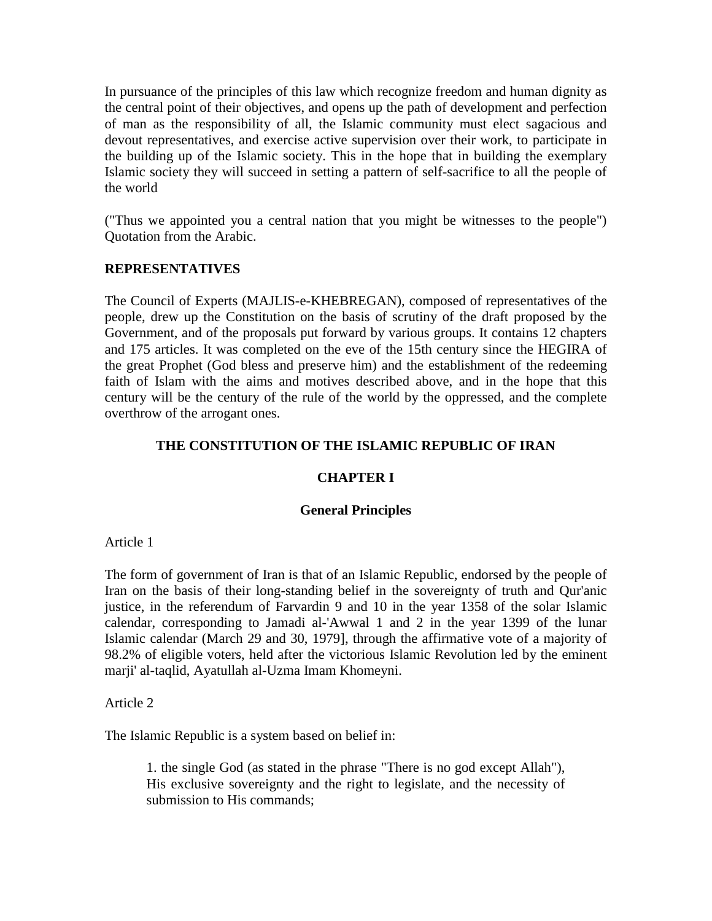In pursuance of the principles of this law which recognize freedom and human dignity as the central point of their objectives, and opens up the path of development and perfection of man as the responsibility of all, the Islamic community must elect sagacious and devout representatives, and exercise active supervision over their work, to participate in the building up of the Islamic society. This in the hope that in building the exemplary Islamic society they will succeed in setting a pattern of self-sacrifice to all the people of the world

("Thus we appointed you a central nation that you might be witnesses to the people") Quotation from the Arabic.

## **REPRESENTATIVES**

The Council of Experts (MAJLIS-e-KHEBREGAN), composed of representatives of the people, drew up the Constitution on the basis of scrutiny of the draft proposed by the Government, and of the proposals put forward by various groups. It contains 12 chapters and 175 articles. It was completed on the eve of the 15th century since the HEGIRA of the great Prophet (God bless and preserve him) and the establishment of the redeeming faith of Islam with the aims and motives described above, and in the hope that this century will be the century of the rule of the world by the oppressed, and the complete overthrow of the arrogant ones.

## **THE CONSTITUTION OF THE ISLAMIC REPUBLIC OF IRAN**

# **CHAPTER I**

### **General Principles**

Article 1

The form of government of Iran is that of an Islamic Republic, endorsed by the people of Iran on the basis of their long-standing belief in the sovereignty of truth and Qur'anic justice, in the referendum of Farvardin 9 and 10 in the year 1358 of the solar Islamic calendar, corresponding to Jamadi al-'Awwal 1 and 2 in the year 1399 of the lunar Islamic calendar (March 29 and 30, 1979], through the affirmative vote of a majority of 98.2% of eligible voters, held after the victorious Islamic Revolution led by the eminent marji' al-taqlid, Ayatullah al-Uzma Imam Khomeyni.

Article 2

The Islamic Republic is a system based on belief in:

1. the single God (as stated in the phrase "There is no god except Allah"), His exclusive sovereignty and the right to legislate, and the necessity of submission to His commands;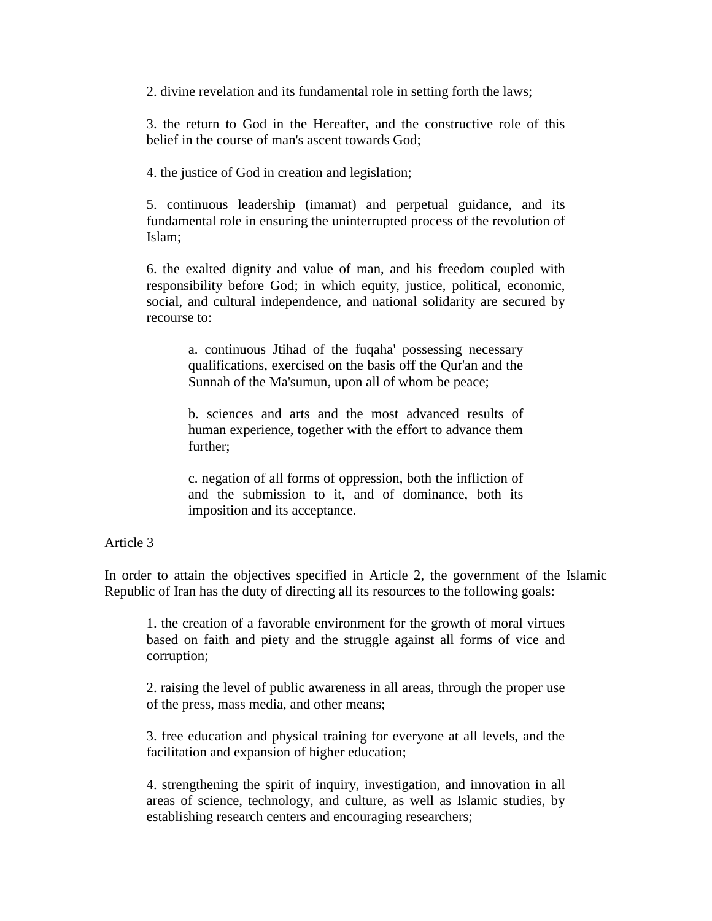2. divine revelation and its fundamental role in setting forth the laws;

3. the return to God in the Hereafter, and the constructive role of this belief in the course of man's ascent towards God;

4. the justice of God in creation and legislation;

5. continuous leadership (imamat) and perpetual guidance, and its fundamental role in ensuring the uninterrupted process of the revolution of Islam;

6. the exalted dignity and value of man, and his freedom coupled with responsibility before God; in which equity, justice, political, economic, social, and cultural independence, and national solidarity are secured by recourse to:

a. continuous Jtihad of the fuqaha' possessing necessary qualifications, exercised on the basis off the Qur'an and the Sunnah of the Ma'sumun, upon all of whom be peace;

further; b. sciences and arts and the most advanced results of human experience, together with the effort to advance them

c. negation of all forms of oppression, both the infliction of and the submission to it, and of dominance, both its imposition and its acceptance.

### Article 3

In order to attain the objectives specified in Article 2, the government of the Islamic Republic of Iran has the duty of directing all its resources to the following goals:

1. the creation of a favorable environment for the growth of moral virtues based on faith and piety and the struggle against all forms of vice and corruption;

2. raising the level of public awareness in all areas, through the proper use of the press, mass media, and other means;

3. free education and physical training for everyone at all levels, and the facilitation and expansion of higher education;

 establishing research centers and encouraging researchers; 4. strengthening the spirit of inquiry, investigation, and innovation in all areas of science, technology, and culture, as well as Islamic studies, by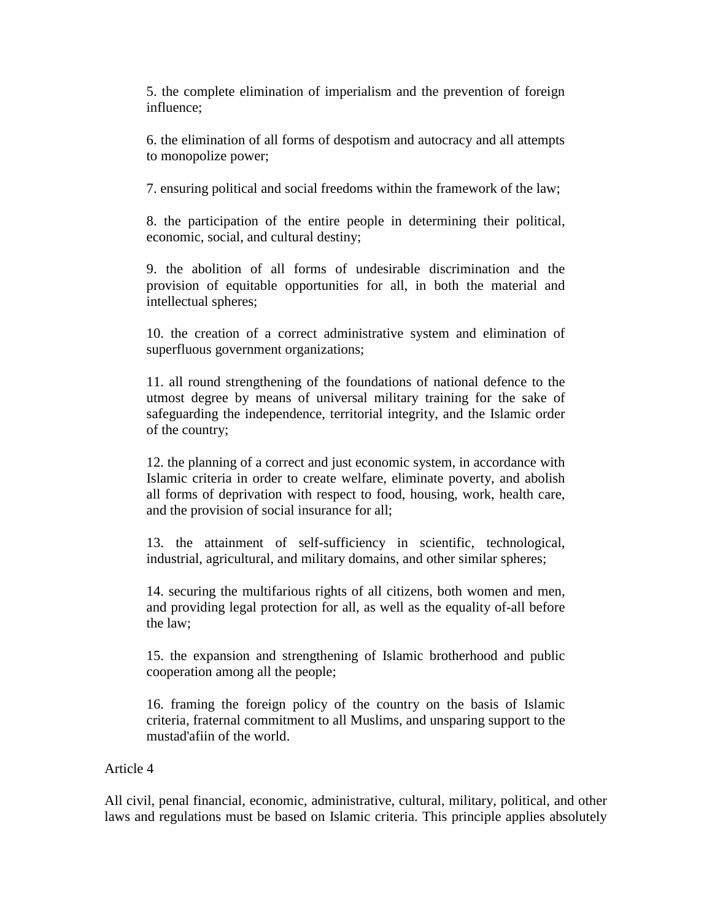5. the complete elimination of imperialism and the prevention of foreign influence;

6. the elimination of all forms of despotism and autocracy and all attempts to monopolize power;

7. ensuring political and social freedoms within the framework of the law;

economic, social, and cultural destiny; 8. the participation of the entire people in determining their political,

9. the abolition of all forms of undesirable discrimination and the provision of equitable opportunities for all, in both the material and intellectual spheres;

10. the creation of a correct administrative system and elimination of superfluous government organizations;

11. all round strengthening of the foundations of national defence to the utmost degree by means of universal military training for the sake of safeguarding the independence, territorial integrity, and the Islamic order of the country;

12. the planning of a correct and just economic system, in accordance with Islamic criteria in order to create welfare, eliminate poverty, and abolish all forms of deprivation with respect to food, housing, work, health care, and the provision of social insurance for all;

13. the attainment of self-sufficiency in scientific, technological, industrial, agricultural, and military domains, and other similar spheres;

14. securing the multifarious rights of all citizens, both women and men, and providing legal protection for all, as well as the equality of-all before the law;

15. the expansion and strengthening of Islamic brotherhood and public cooperation among all the people;

 mustad'afiin of the world. Article 4 16. framing the foreign policy of the country on the basis of Islamic criteria, fraternal commitment to all Muslims, and unsparing support to the

All civil, penal financial, economic, administrative, cultural, military, political, and other laws and regulations must be based on Islamic criteria. This principle applies absolutely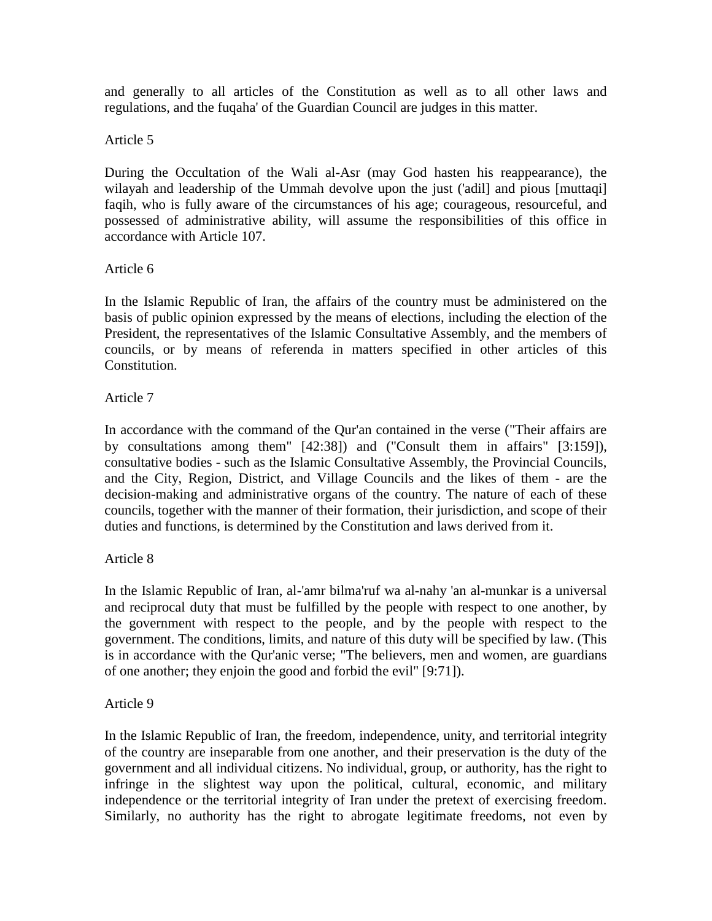regulations, and the fuqaha' of the Guardian Council are judges in this matter. Article 5 and generally to all articles of the Constitution as well as to all other laws and

During the Occultation of the Wali al-Asr (may God hasten his reappearance), the wilayah and leadership of the Ummah devolve upon the just ('adil] and pious [muttaqi] faqih, who is fully aware of the circumstances of his age; courageous, resourceful, and possessed of administrative ability, will assume the responsibilities of this office in accordance with Article 107.

## Article 6

In the Islamic Republic of Iran, the affairs of the country must be administered on the basis of public opinion expressed by the means of elections, including the election of the President, the representatives of the Islamic Consultative Assembly, and the members of councils, or by means of referenda in matters specified in other articles of this Constitution.

## Article 7

In accordance with the command of the Qur'an contained in the verse ("Their affairs are by consultations among them" [42:38]) and ("Consult them in affairs" [3:159]), consultative bodies - such as the Islamic Consultative Assembly, the Provincial Councils, and the City, Region, District, and Village Councils and the likes of them - are the decision-making and administrative organs of the country. The nature of each of these councils, together with the manner of their formation, their jurisdiction, and scope of their duties and functions, is determined by the Constitution and laws derived from it.

# Article 8

 In the Islamic Republic of Iran, al-'amr bilma'ruf wa al-nahy 'an al-munkar is a universal and reciprocal duty that must be fulfilled by the people with respect to one another, by the government with respect to the people, and by the people with respect to the government. The conditions, limits, and nature of this duty will be specified by law. (This is in accordance with the Qur'anic verse; "The believers, men and women, are guardians of one another; they enjoin the good and forbid the evil" [9:71]).

### Article 9

In the Islamic Republic of Iran, the freedom, independence, unity, and territorial integrity of the country are inseparable from one another, and their preservation is the duty of the government and all individual citizens. No individual, group, or authority, has the right to infringe in the slightest way upon the political, cultural, economic, and military independence or the territorial integrity of Iran under the pretext of exercising freedom. Similarly, no authority has the right to abrogate legitimate freedoms, not even by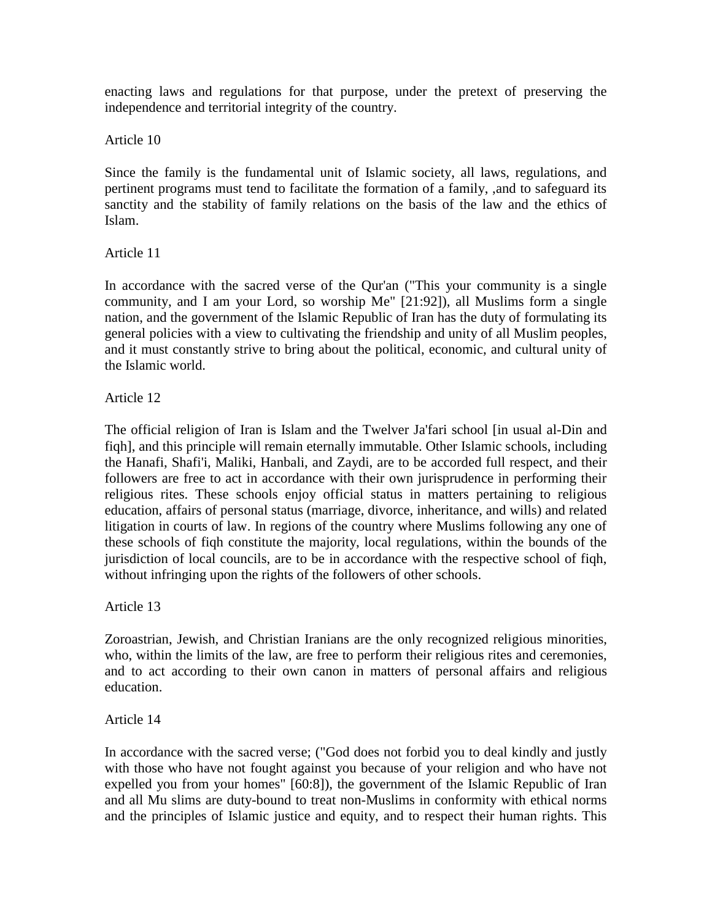independence and territorial integrity of the country. Article 10 enacting laws and regulations for that purpose, under the pretext of preserving the

Since the family is the fundamental unit of Islamic society, all laws, regulations, and pertinent programs must tend to facilitate the formation of a family, ,and to safeguard its sanctity and the stability of family relations on the basis of the law and the ethics of Islam.

Article 11

 community, and I am your Lord, so worship Me" [21:92]), all Muslims form a single In accordance with the sacred verse of the Qur'an ("This your community is a single nation, and the government of the Islamic Republic of Iran has the duty of formulating its general policies with a view to cultivating the friendship and unity of all Muslim peoples, and it must constantly strive to bring about the political, economic, and cultural unity of the Islamic world.

Article 12

 litigation in courts of law. In regions of the country where Muslims following any one of The official religion of Iran is Islam and the Twelver Ja'fari school [in usual al-Din and fiqh], and this principle will remain eternally immutable. Other Islamic schools, including the Hanafi, Shafi'i, Maliki, Hanbali, and Zaydi, are to be accorded full respect, and their followers are free to act in accordance with their own jurisprudence in performing their religious rites. These schools enjoy official status in matters pertaining to religious education, affairs of personal status (marriage, divorce, inheritance, and wills) and related these schools of fiqh constitute the majority, local regulations, within the bounds of the jurisdiction of local councils, are to be in accordance with the respective school of fiqh, without infringing upon the rights of the followers of other schools.

Article 13

Zoroastrian, Jewish, and Christian Iranians are the only recognized religious minorities, who, within the limits of the law, are free to perform their religious rites and ceremonies, and to act according to their own canon in matters of personal affairs and religious education.

Article 14

In accordance with the sacred verse; ("God does not forbid you to deal kindly and justly with those who have not fought against you because of your religion and who have not expelled you from your homes" [60:8]), the government of the Islamic Republic of Iran and all Mu slims are duty-bound to treat non-Muslims in conformity with ethical norms and the principles of Islamic justice and equity, and to respect their human rights. This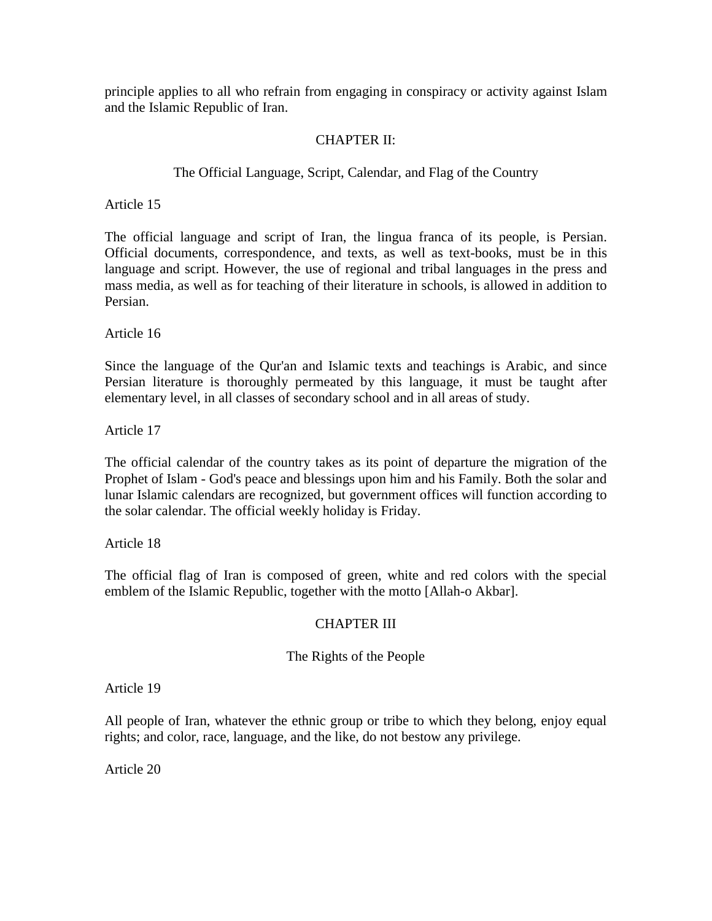principle applies to all who refrain from engaging in conspiracy or activity against Islam and the Islamic Republic of Iran.

# CHAPTER II:

# The Official Language, Script, Calendar, and Flag of the Country

Article 15

The official language and script of Iran, the lingua franca of its people, is Persian. Official documents, correspondence, and texts, as well as text-books, must be in this language and script. However, the use of regional and tribal languages in the press and mass media, as well as for teaching of their literature in schools, is allowed in addition to Persian.

Article 16

 elementary level, in all classes of secondary school and in all areas of study. Article 17 Since the language of the Qur'an and Islamic texts and teachings is Arabic, and since Persian literature is thoroughly permeated by this language, it must be taught after

The official calendar of the country takes as its point of departure the migration of the Prophet of Islam - God's peace and blessings upon him and his Family. Both the solar and lunar Islamic calendars are recognized, but government offices will function according to the solar calendar. The official weekly holiday is Friday.

Article 18

 The official flag of Iran is composed of green, white and red colors with the special emblem of the Islamic Republic, together with the motto [Allah-o Akbar].

# CHAPTER III

# The Rights of the People

Article 19

 All people of Iran, whatever the ethnic group or tribe to which they belong, enjoy equal rights; and color, race, language, and the like, do not bestow any privilege.

Article 20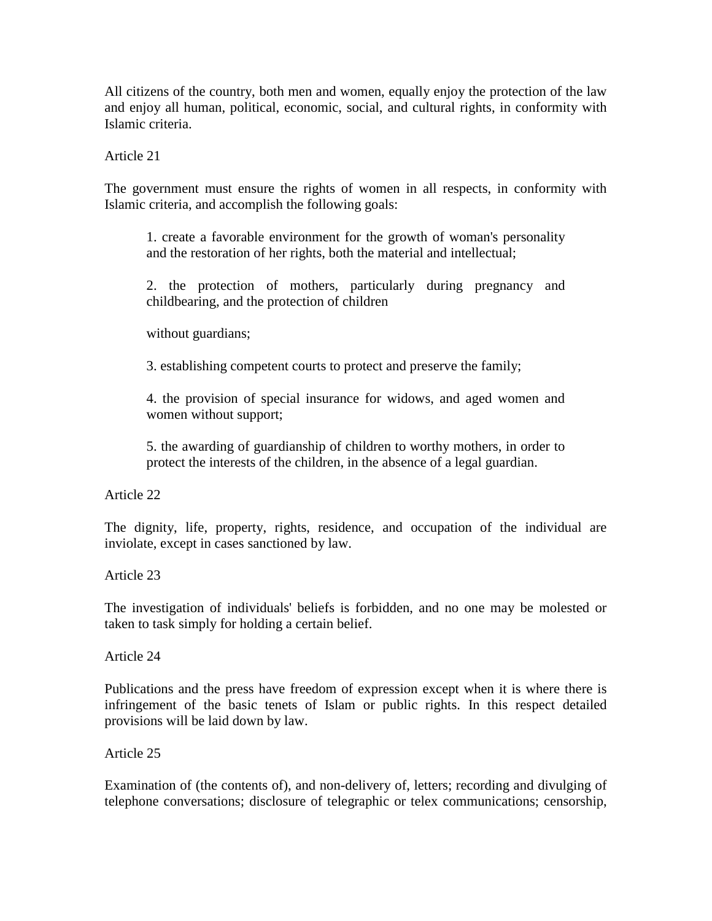Islamic criteria. Article 21 All citizens of the country, both men and women, equally enjoy the protection of the law and enjoy all human, political, economic, social, and cultural rights, in conformity with

 Islamic criteria, and accomplish the following goals: The government must ensure the rights of women in all respects, in conformity with

1. create a favorable environment for the growth of woman's personality and the restoration of her rights, both the material and intellectual;

 2. the protection of mothers, particularly during pregnancy and childbearing, and the protection of children

without guardians;

3. establishing competent courts to protect and preserve the family;

4. the provision of special insurance for widows, and aged women and women without support;

5. the awarding of guardianship of children to worthy mothers, in order to protect the interests of the children, in the absence of a legal guardian.

Article 22

The dignity, life, property, rights, residence, and occupation of the individual are inviolate, except in cases sanctioned by law.

Article 23

 taken to task simply for holding a certain belief. Article 24 The investigation of individuals' beliefs is forbidden, and no one may be molested or

Publications and the press have freedom of expression except when it is where there is infringement of the basic tenets of Islam or public rights. In this respect detailed provisions will be laid down by law.

Article 25

Examination of (the contents of), and non-delivery of, letters; recording and divulging of telephone conversations; disclosure of telegraphic or telex communications; censorship,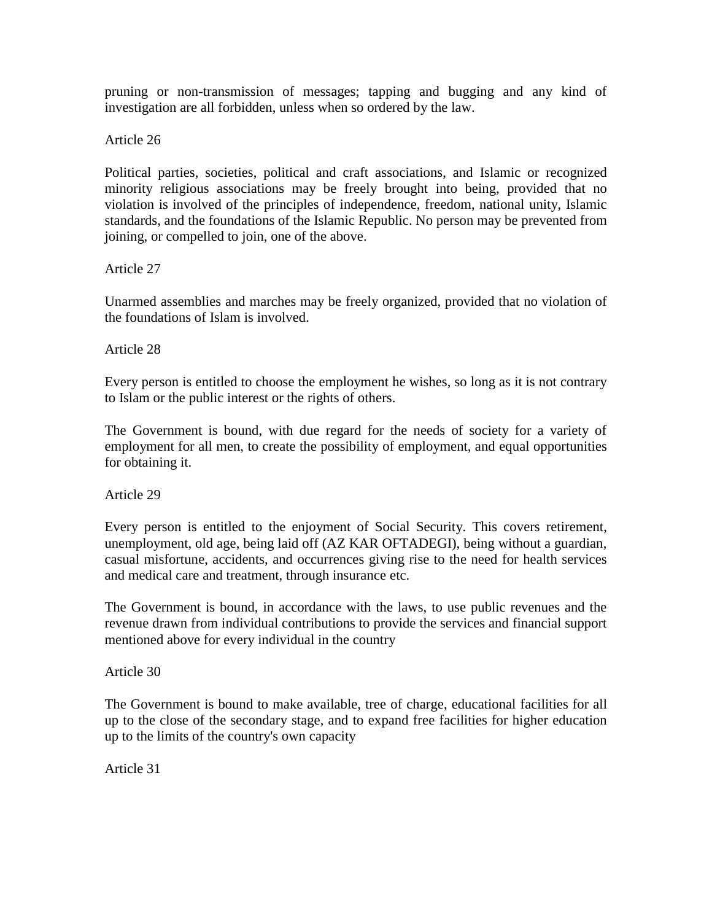pruning or non-transmission of messages; tapping and bugging and any kind of investigation are all forbidden, unless when so ordered by the law.

Article 26

Political parties, societies, political and craft associations, and Islamic or recognized minority religious associations may be freely brought into being, provided that no violation is involved of the principles of independence, freedom, national unity, Islamic standards, and the foundations of the Islamic Republic. No person may be prevented from joining, or compelled to join, one of the above.

Article 27

 Unarmed assemblies and marches may be freely organized, provided that no violation of the foundations of Islam is involved.

Article 28

Every person is entitled to choose the employment he wishes, so long as it is not contrary to Islam or the public interest or the rights of others.

The Government is bound, with due regard for the needs of society for a variety of employment for all men, to create the possibility of employment, and equal opportunities for obtaining it.

Article 29

Every person is entitled to the enjoyment of Social Security. This covers retirement, unemployment, old age, being laid off (AZ KAR OFTADEGI), being without a guardian, casual misfortune, accidents, and occurrences giving rise to the need for health services and medical care and treatment, through insurance etc.

 mentioned above for every individual in the country The Government is bound, in accordance with the laws, to use public revenues and the revenue drawn from individual contributions to provide the services and financial support

Article 30

 up to the limits of the country's own capacity Article 31 The Government is bound to make available, tree of charge, educational facilities for all up to the close of the secondary stage, and to expand free facilities for higher education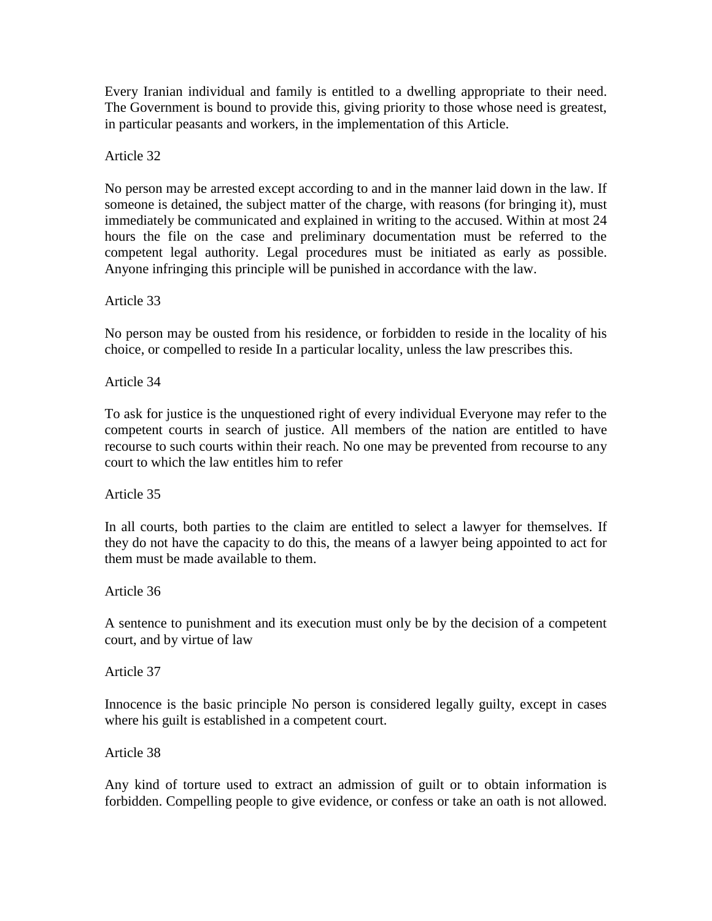Every Iranian individual and family is entitled to a dwelling appropriate to their need. The Government is bound to provide this, giving priority to those whose need is greatest, in particular peasants and workers, in the implementation of this Article.

## Article 32

 competent legal authority. Legal procedures must be initiated as early as possible. No person may be arrested except according to and in the manner laid down in the law. If someone is detained, the subject matter of the charge, with reasons (for bringing it), must immediately be communicated and explained in writing to the accused. Within at most 24 hours the file on the case and preliminary documentation must be referred to the Anyone infringing this principle will be punished in accordance with the law.

Article 33

 No person may be ousted from his residence, or forbidden to reside in the locality of his choice, or compelled to reside In a particular locality, unless the law prescribes this.

Article 34

 To ask for justice is the unquestioned right of every individual Everyone may refer to the court to which the law entitles him to refer Article 35 competent courts in search of justice. All members of the nation are entitled to have recourse to such courts within their reach. No one may be prevented from recourse to any

In all courts, both parties to the claim are entitled to select a lawyer for themselves. If they do not have the capacity to do this, the means of a lawyer being appointed to act for them must be made available to them.

Article 36

A sentence to punishment and its execution must only be by the decision of a competent court, and by virtue of law

Article 37

 where his guilt is established in a competent court. Article 38 Innocence is the basic principle No person is considered legally guilty, except in cases

Any kind of torture used to extract an admission of guilt or to obtain information is forbidden. Compelling people to give evidence, or confess or take an oath is not allowed.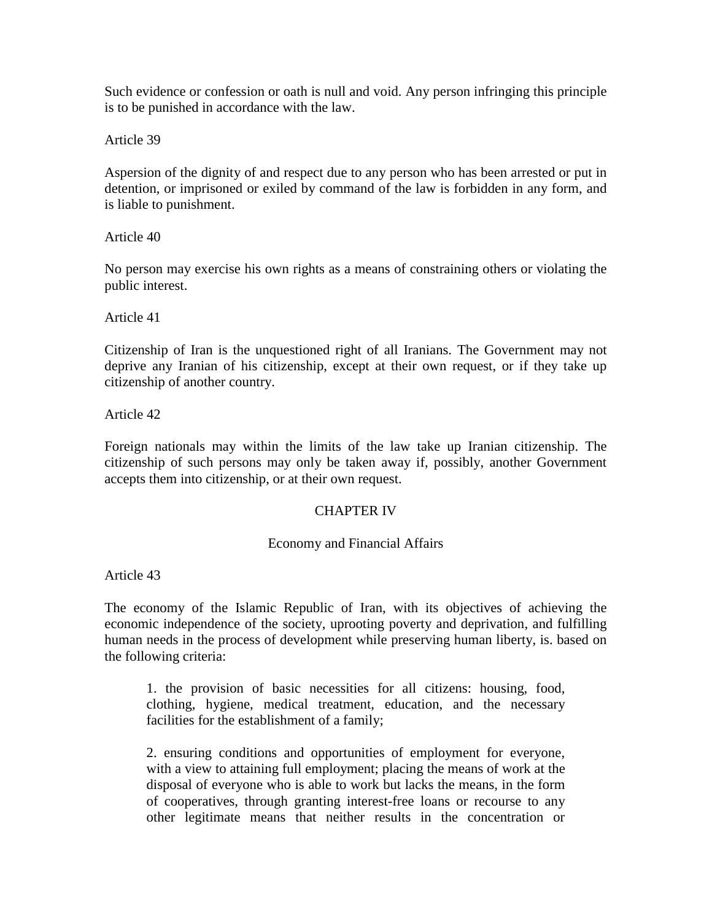Such evidence or confession or oath is null and void. Any person infringing this principle is to be punished in accordance with the law.

Article 39

Aspersion of the dignity of and respect due to any person who has been arrested or put in detention, or imprisoned or exiled by command of the law is forbidden in any form, and is liable to punishment.

Article 40

No person may exercise his own rights as a means of constraining others or violating the public interest.

Article 41

Citizenship of Iran is the unquestioned right of all Iranians. The Government may not deprive any Iranian of his citizenship, except at their own request, or if they take up citizenship of another country.

Article 42

Foreign nationals may within the limits of the law take up Iranian citizenship. The citizenship of such persons may only be taken away if, possibly, another Government accepts them into citizenship, or at their own request.

# CHAPTER IV

### Economy and Financial Affairs

Article 43

the following criteria: The economy of the Islamic Republic of Iran, with its objectives of achieving the economic independence of the society, uprooting poverty and deprivation, and fulfilling human needs in the process of development while preserving human liberty, is. based on

facilities for the establishment of a family; 1. the provision of basic necessities for all citizens: housing, food, clothing, hygiene, medical treatment, education, and the necessary

2. ensuring conditions and opportunities of employment for everyone, with a view to attaining full employment; placing the means of work at the disposal of everyone who is able to work but lacks the means, in the form of cooperatives, through granting interest-free loans or recourse to any other legitimate means that neither results in the concentration or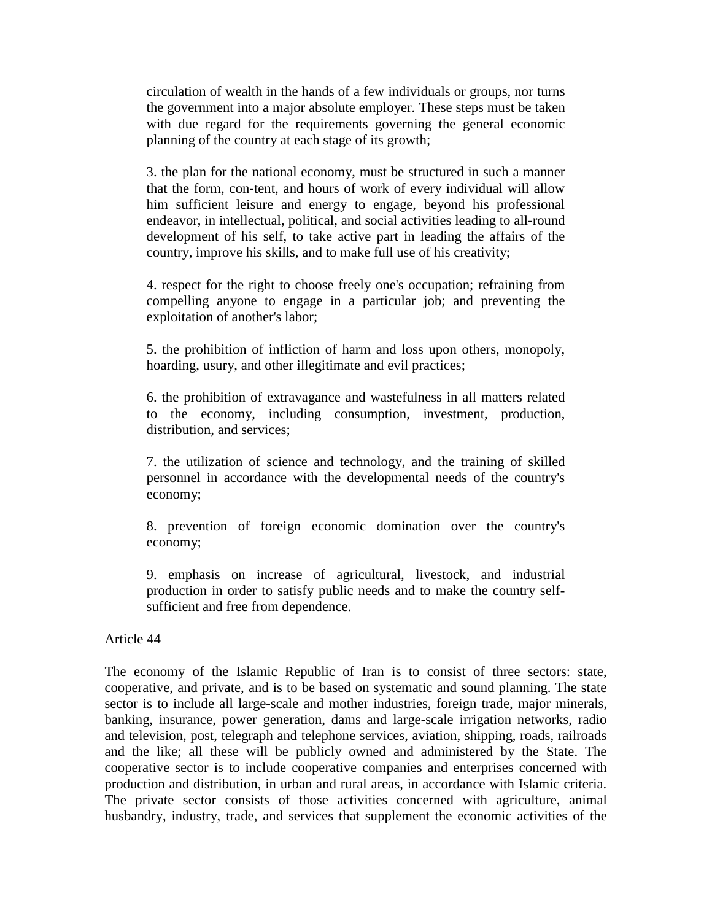circulation of wealth in the hands of a few individuals or groups, nor turns the government into a major absolute employer. These steps must be taken with due regard for the requirements governing the general economic planning of the country at each stage of its growth;

country, improve his skills, and to make full use of his creativity; 3. the plan for the national economy, must be structured in such a manner that the form, con-tent, and hours of work of every individual will allow him sufficient leisure and energy to engage, beyond his professional endeavor, in intellectual, political, and social activities leading to all-round development of his self, to take active part in leading the affairs of the

4. respect for the right to choose freely one's occupation; refraining from compelling anyone to engage in a particular job; and preventing the exploitation of another's labor;

5. the prohibition of infliction of harm and loss upon others, monopoly, hoarding, usury, and other illegitimate and evil practices;

6. the prohibition of extravagance and wastefulness in all matters related to the economy, including consumption, investment, production, distribution, and services;

economy; 7. the utilization of science and technology, and the training of skilled personnel in accordance with the developmental needs of the country's

economy; 8. prevention of foreign economic domination over the country's

9. emphasis on increase of agricultural, livestock, and industrial production in order to satisfy public needs and to make the country selfsufficient and free from dependence.

#### Article 44

The economy of the Islamic Republic of Iran is to consist of three sectors: state, cooperative, and private, and is to be based on systematic and sound planning. The state sector is to include all large-scale and mother industries, foreign trade, major minerals, banking, insurance, power generation, dams and large-scale irrigation networks, radio and television, post, telegraph and telephone services, aviation, shipping, roads, railroads and the like; all these will be publicly owned and administered by the State. The cooperative sector is to include cooperative companies and enterprises concerned with production and distribution, in urban and rural areas, in accordance with Islamic criteria. The private sector consists of those activities concerned with agriculture, animal husbandry, industry, trade, and services that supplement the economic activities of the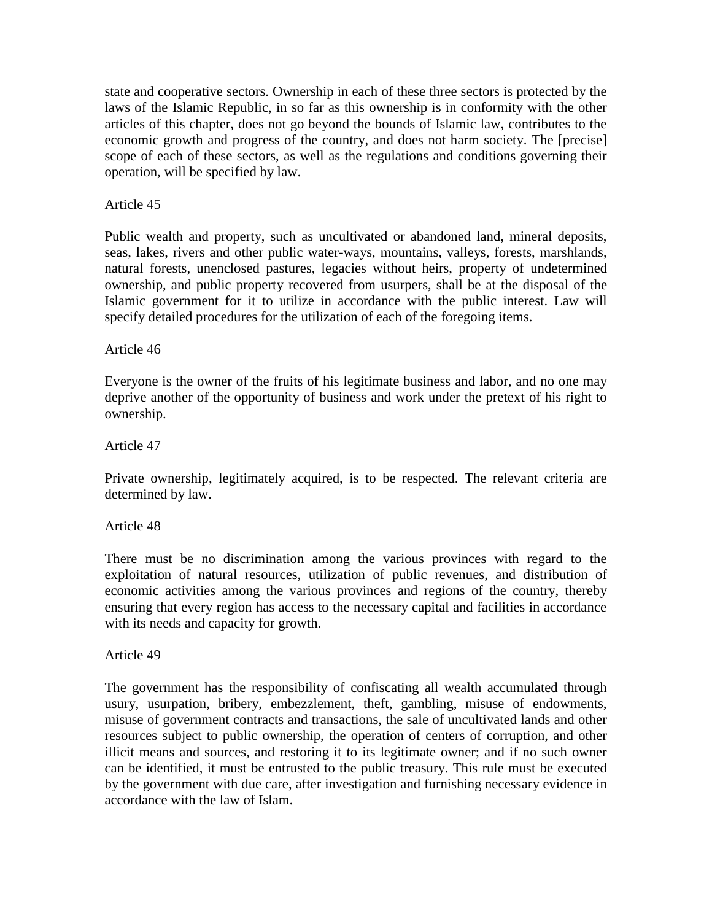state and cooperative sectors. Ownership in each of these three sectors is protected by the laws of the Islamic Republic, in so far as this ownership is in conformity with the other articles of this chapter, does not go beyond the bounds of Islamic law, contributes to the economic growth and progress of the country, and does not harm society. The [precise] scope of each of these sectors, as well as the regulations and conditions governing their operation, will be specified by law.

## Article 45

Public wealth and property, such as uncultivated or abandoned land, mineral deposits, seas, lakes, rivers and other public water-ways, mountains, valleys, forests, marshlands, natural forests, unenclosed pastures, legacies without heirs, property of undetermined ownership, and public property recovered from usurpers, shall be at the disposal of the Islamic government for it to utilize in accordance with the public interest. Law will specify detailed procedures for the utilization of each of the foregoing items.

### Article 46

Everyone is the owner of the fruits of his legitimate business and labor, and no one may deprive another of the opportunity of business and work under the pretext of his right to ownership.

### Article 47

Private ownership, legitimately acquired, is to be respected. The relevant criteria are determined by law.

### Article 48

There must be no discrimination among the various provinces with regard to the exploitation of natural resources, utilization of public revenues, and distribution of economic activities among the various provinces and regions of the country, thereby ensuring that every region has access to the necessary capital and facilities in accordance with its needs and capacity for growth.

### Article 49

 accordance with the law of Islam. The government has the responsibility of confiscating all wealth accumulated through usury, usurpation, bribery, embezzlement, theft, gambling, misuse of endowments, misuse of government contracts and transactions, the sale of uncultivated lands and other resources subject to public ownership, the operation of centers of corruption, and other illicit means and sources, and restoring it to its legitimate owner; and if no such owner can be identified, it must be entrusted to the public treasury. This rule must be executed by the government with due care, after investigation and furnishing necessary evidence in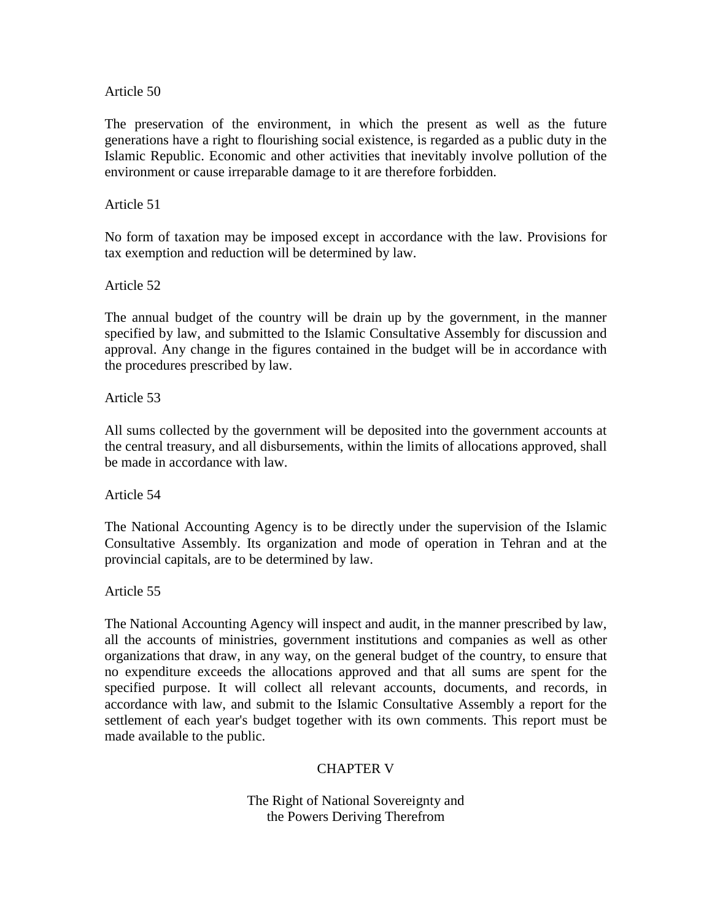The preservation of the environment, in which the present as well as the future generations have a right to flourishing social existence, is regarded as a public duty in the Islamic Republic. Economic and other activities that inevitably involve pollution of the environment or cause irreparable damage to it are therefore forbidden.

#### Article 51

No form of taxation may be imposed except in accordance with the law. Provisions for tax exemption and reduction will be determined by law.

#### Article 52

The annual budget of the country will be drain up by the government, in the manner specified by law, and submitted to the Islamic Consultative Assembly for discussion and approval. Any change in the figures contained in the budget will be in accordance with the procedures prescribed by law.

Article 53

All sums collected by the government will be deposited into the government accounts at the central treasury, and all disbursements, within the limits of allocations approved, shall be made in accordance with law.

Article 54

The National Accounting Agency is to be directly under the supervision of the Islamic Consultative Assembly. Its organization and mode of operation in Tehran and at the provincial capitals, are to be determined by law.

Article 55

The National Accounting Agency will inspect and audit, in the manner prescribed by law, all the accounts of ministries, government institutions and companies as well as other organizations that draw, in any way, on the general budget of the country, to ensure that no expenditure exceeds the allocations approved and that all sums are spent for the specified purpose. It will collect all relevant accounts, documents, and records, in accordance with law, and submit to the Islamic Consultative Assembly a report for the settlement of each year's budget together with its own comments. This report must be made available to the public.

# CHAPTER V

The Right of National Sovereignty and the Powers Deriving Therefrom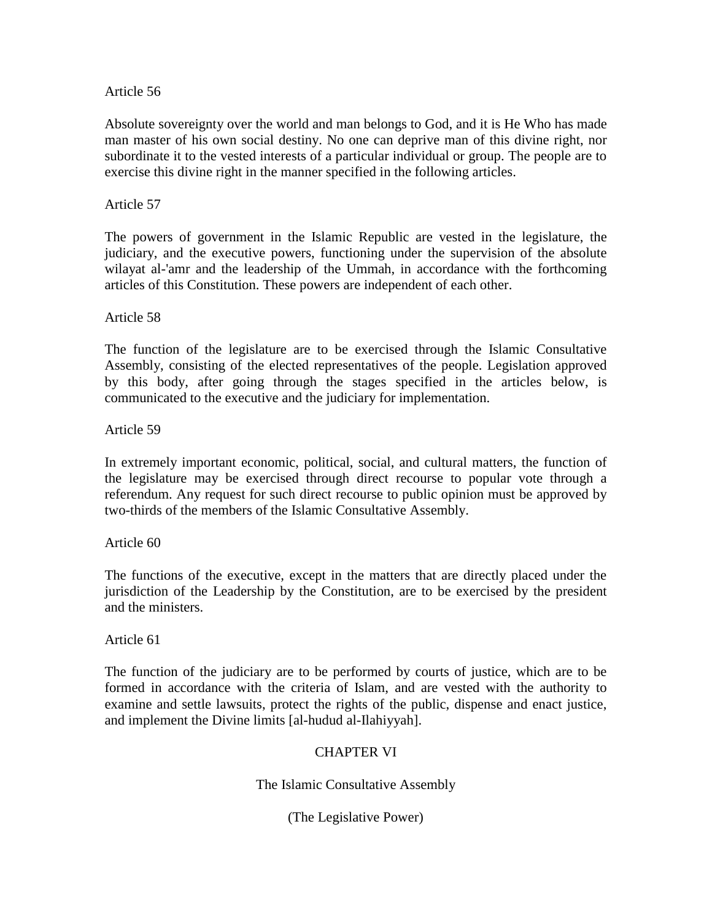Absolute sovereignty over the world and man belongs to God, and it is He Who has made man master of his own social destiny. No one can deprive man of this divine right, nor subordinate it to the vested interests of a particular individual or group. The people are to exercise this divine right in the manner specified in the following articles.

## Article 57

The powers of government in the Islamic Republic are vested in the legislature, the judiciary, and the executive powers, functioning under the supervision of the absolute wilayat al-'amr and the leadership of the Ummah, in accordance with the forthcoming articles of this Constitution. These powers are independent of each other.

Article 58

 by this body, after going through the stages specified in the articles below, is The function of the legislature are to be exercised through the Islamic Consultative Assembly, consisting of the elected representatives of the people. Legislation approved communicated to the executive and the judiciary for implementation.

Article 59

In extremely important economic, political, social, and cultural matters, the function of the legislature may be exercised through direct recourse to popular vote through a referendum. Any request for such direct recourse to public opinion must be approved by two-thirds of the members of the Islamic Consultative Assembly.

Article 60

The functions of the executive, except in the matters that are directly placed under the jurisdiction of the Leadership by the Constitution, are to be exercised by the president and the ministers.

Article 61

 and implement the Divine limits [al-hudud al-Ilahiyyah]. CHAPTER VI The function of the judiciary are to be performed by courts of justice, which are to be formed in accordance with the criteria of Islam, and are vested with the authority to examine and settle lawsuits, protect the rights of the public, dispense and enact justice,

The Islamic Consultative Assembly

(The Legislative Power)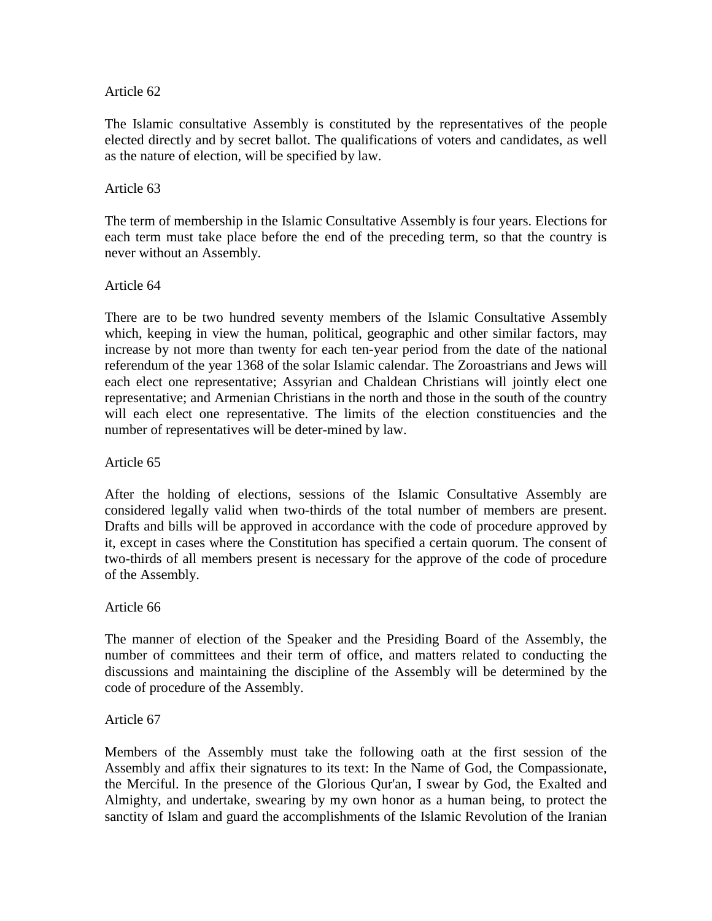The Islamic consultative Assembly is constituted by the representatives of the people elected directly and by secret ballot. The qualifications of voters and candidates, as well as the nature of election, will be specified by law.

#### Article 63

 each term must take place before the end of the preceding term, so that the country is The term of membership in the Islamic Consultative Assembly is four years. Elections for never without an Assembly.

### Article 64

There are to be two hundred seventy members of the Islamic Consultative Assembly which, keeping in view the human, political, geographic and other similar factors, may increase by not more than twenty for each ten-year period from the date of the national referendum of the year 1368 of the solar Islamic calendar. The Zoroastrians and Jews will each elect one representative; Assyrian and Chaldean Christians will jointly elect one representative; and Armenian Christians in the north and those in the south of the country will each elect one representative. The limits of the election constituencies and the number of representatives will be deter-mined by law.

#### Article 65

 After the holding of elections, sessions of the Islamic Consultative Assembly are considered legally valid when two-thirds of the total number of members are present. Drafts and bills will be approved in accordance with the code of procedure approved by it, except in cases where the Constitution has specified a certain quorum. The consent of two-thirds of all members present is necessary for the approve of the code of procedure of the Assembly.

#### Article 66

The manner of election of the Speaker and the Presiding Board of the Assembly, the number of committees and their term of office, and matters related to conducting the discussions and maintaining the discipline of the Assembly will be determined by the code of procedure of the Assembly.

#### Article 67

Members of the Assembly must take the following oath at the first session of the Assembly and affix their signatures to its text: In the Name of God, the Compassionate, the Merciful. In the presence of the Glorious Qur'an, I swear by God, the Exalted and Almighty, and undertake, swearing by my own honor as a human being, to protect the sanctity of Islam and guard the accomplishments of the Islamic Revolution of the Iranian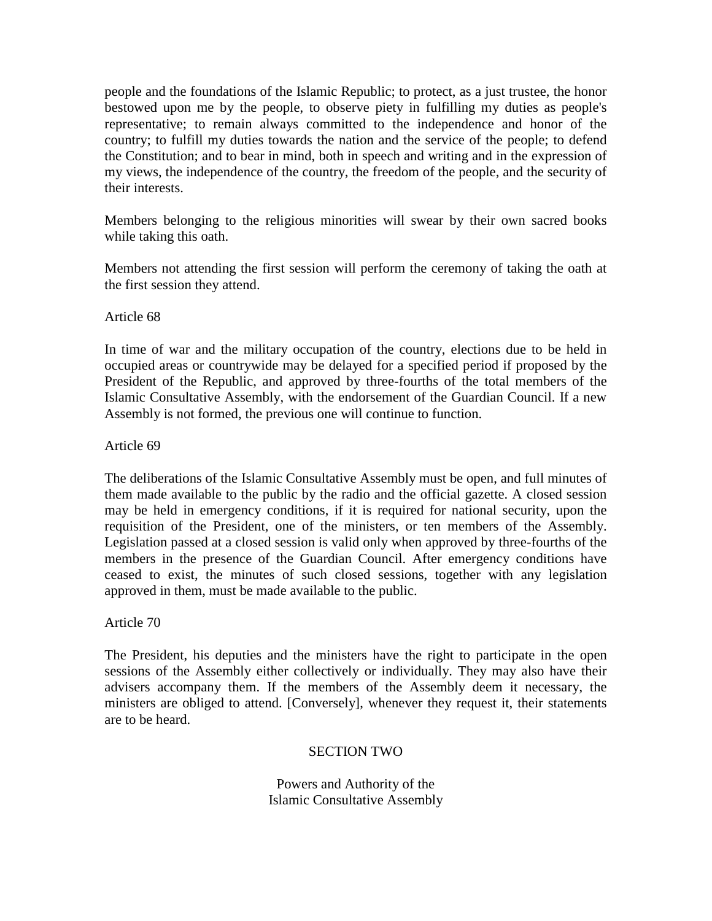people and the foundations of the Islamic Republic; to protect, as a just trustee, the honor bestowed upon me by the people, to observe piety in fulfilling my duties as people's representative; to remain always committed to the independence and honor of the country; to fulfill my duties towards the nation and the service of the people; to defend the Constitution; and to bear in mind, both in speech and writing and in the expression of my views, the independence of the country, the freedom of the people, and the security of their interests.

Members belonging to the religious minorities will swear by their own sacred books while taking this oath.

Members not attending the first session will perform the ceremony of taking the oath at the first session they attend.

Article 68

In time of war and the military occupation of the country, elections due to be held in occupied areas or countrywide may be delayed for a specified period if proposed by the President of the Republic, and approved by three-fourths of the total members of the Islamic Consultative Assembly, with the endorsement of the Guardian Council. If a new Assembly is not formed, the previous one will continue to function.

Article 69

The deliberations of the Islamic Consultative Assembly must be open, and full minutes of them made available to the public by the radio and the official gazette. A closed session may be held in emergency conditions, if it is required for national security, upon the requisition of the President, one of the ministers, or ten members of the Assembly. Legislation passed at a closed session is valid only when approved by three-fourths of the members in the presence of the Guardian Council. After emergency conditions have ceased to exist, the minutes of such closed sessions, together with any legislation approved in them, must be made available to the public.

Article 70

The President, his deputies and the ministers have the right to participate in the open sessions of the Assembly either collectively or individually. They may also have their advisers accompany them. If the members of the Assembly deem it necessary, the ministers are obliged to attend. [Conversely], whenever they request it, their statements are to be heard.

# SECTION TWO

Powers and Authority of the Islamic Consultative Assembly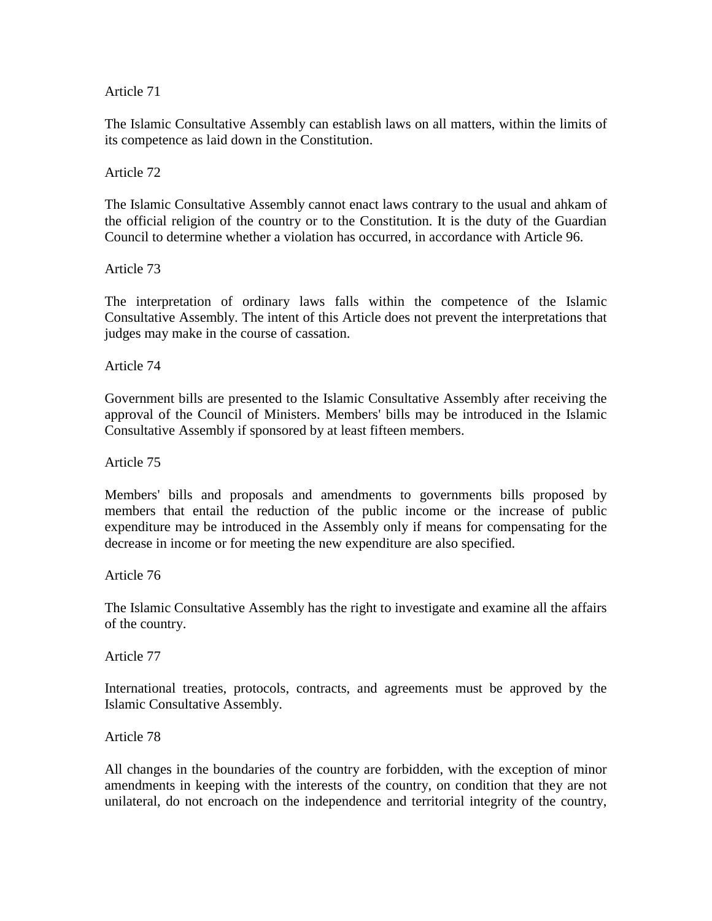The Islamic Consultative Assembly can establish laws on all matters, within the limits of its competence as laid down in the Constitution.

## Article 72

The Islamic Consultative Assembly cannot enact laws contrary to the usual and ahkam of the official religion of the country or to the Constitution. It is the duty of the Guardian Council to determine whether a violation has occurred, in accordance with Article 96.

Article 73

The interpretation of ordinary laws falls within the competence of the Islamic Consultative Assembly. The intent of this Article does not prevent the interpretations that judges may make in the course of cassation.

Article 74

Government bills are presented to the Islamic Consultative Assembly after receiving the approval of the Council of Ministers. Members' bills may be introduced in the Islamic Consultative Assembly if sponsored by at least fifteen members.

Article 75

Members' bills and proposals and amendments to governments bills proposed by members that entail the reduction of the public income or the increase of public expenditure may be introduced in the Assembly only if means for compensating for the decrease in income or for meeting the new expenditure are also specified.

Article 76

The Islamic Consultative Assembly has the right to investigate and examine all the affairs of the country.

Article 77

International treaties, protocols, contracts, and agreements must be approved by the Islamic Consultative Assembly.

Article 78

All changes in the boundaries of the country are forbidden, with the exception of minor amendments in keeping with the interests of the country, on condition that they are not unilateral, do not encroach on the independence and territorial integrity of the country,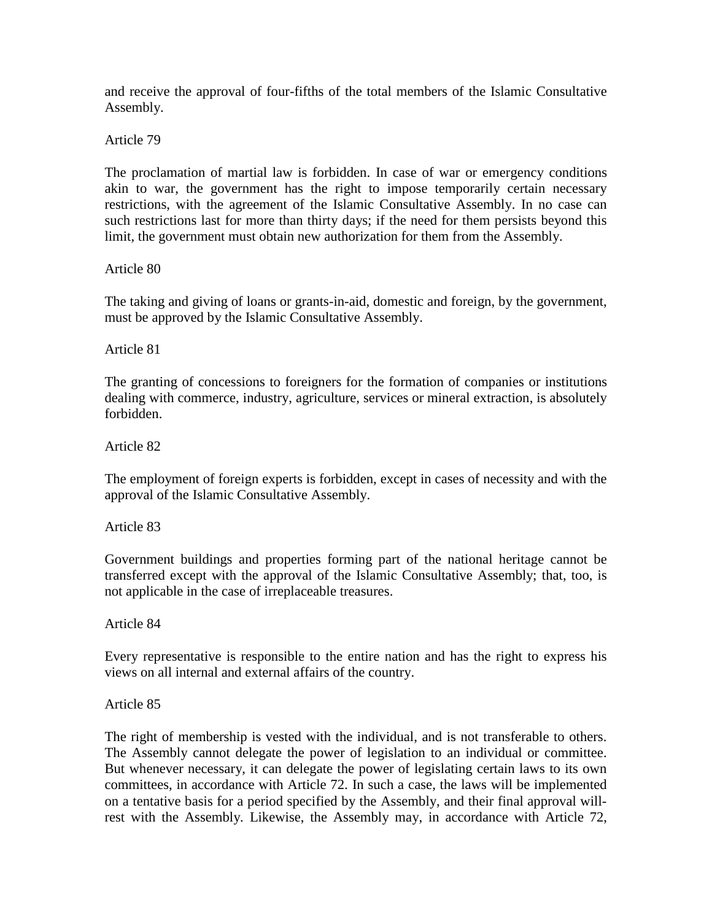and receive the approval of four-fifths of the total members of the Islamic Consultative Assembly.

Article 79

 The proclamation of martial law is forbidden. In case of war or emergency conditions akin to war, the government has the right to impose temporarily certain necessary restrictions, with the agreement of the Islamic Consultative Assembly. In no case can such restrictions last for more than thirty days; if the need for them persists beyond this limit, the government must obtain new authorization for them from the Assembly.

### Article 80

The taking and giving of loans or grants-in-aid, domestic and foreign, by the government, must be approved by the Islamic Consultative Assembly.

#### Article 81

The granting of concessions to foreigners for the formation of companies or institutions dealing with commerce, industry, agriculture, services or mineral extraction, is absolutely forbidden.

#### Article 82

The employment of foreign experts is forbidden, except in cases of necessity and with the approval of the Islamic Consultative Assembly.

Article 83

Government buildings and properties forming part of the national heritage cannot be transferred except with the approval of the Islamic Consultative Assembly; that, too, is not applicable in the case of irreplaceable treasures.

Article 84

Every representative is responsible to the entire nation and has the right to express his views on all internal and external affairs of the country.

Article 85

The right of membership is vested with the individual, and is not transferable to others. The Assembly cannot delegate the power of legislation to an individual or committee. But whenever necessary, it can delegate the power of legislating certain laws to its own committees, in accordance with Article 72. In such a case, the laws will be implemented on a tentative basis for a period specified by the Assembly, and their final approval willrest with the Assembly. Likewise, the Assembly may, in accordance with Article 72,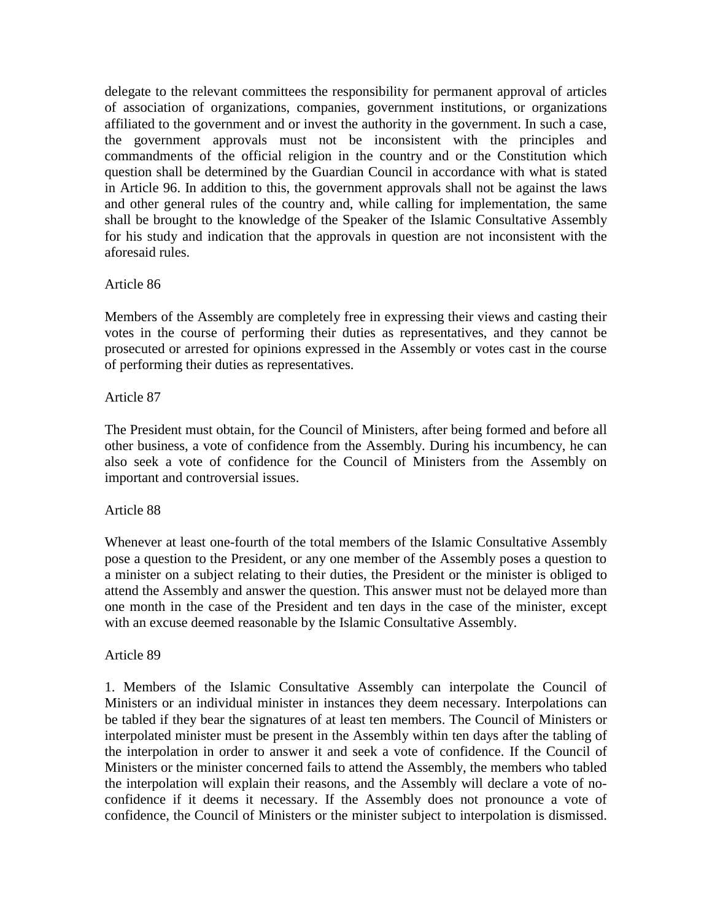affiliated to the government and or invest the authority in the government. In such a case, delegate to the relevant committees the responsibility for permanent approval of articles of association of organizations, companies, government institutions, or organizations the government approvals must not be inconsistent with the principles and commandments of the official religion in the country and or the Constitution which question shall be determined by the Guardian Council in accordance with what is stated in Article 96. In addition to this, the government approvals shall not be against the laws and other general rules of the country and, while calling for implementation, the same shall be brought to the knowledge of the Speaker of the Islamic Consultative Assembly for his study and indication that the approvals in question are not inconsistent with the aforesaid rules.

### Article 86

 votes in the course of performing their duties as representatives, and they cannot be Members of the Assembly are completely free in expressing their views and casting their prosecuted or arrested for opinions expressed in the Assembly or votes cast in the course of performing their duties as representatives.

## Article 87

The President must obtain, for the Council of Ministers, after being formed and before all other business, a vote of confidence from the Assembly. During his incumbency, he can also seek a vote of confidence for the Council of Ministers from the Assembly on important and controversial issues.

### Article 88

Whenever at least one-fourth of the total members of the Islamic Consultative Assembly pose a question to the President, or any one member of the Assembly poses a question to a minister on a subject relating to their duties, the President or the minister is obliged to attend the Assembly and answer the question. This answer must not be delayed more than one month in the case of the President and ten days in the case of the minister, except with an excuse deemed reasonable by the Islamic Consultative Assembly.

### Article 89

1. Members of the Islamic Consultative Assembly can interpolate the Council of Ministers or an individual minister in instances they deem necessary. Interpolations can be tabled if they bear the signatures of at least ten members. The Council of Ministers or interpolated minister must be present in the Assembly within ten days after the tabling of the interpolation in order to answer it and seek a vote of confidence. If the Council of Ministers or the minister concerned fails to attend the Assembly, the members who tabled the interpolation will explain their reasons, and the Assembly will declare a vote of noconfidence if it deems it necessary. If the Assembly does not pronounce a vote of confidence, the Council of Ministers or the minister subject to interpolation is dismissed.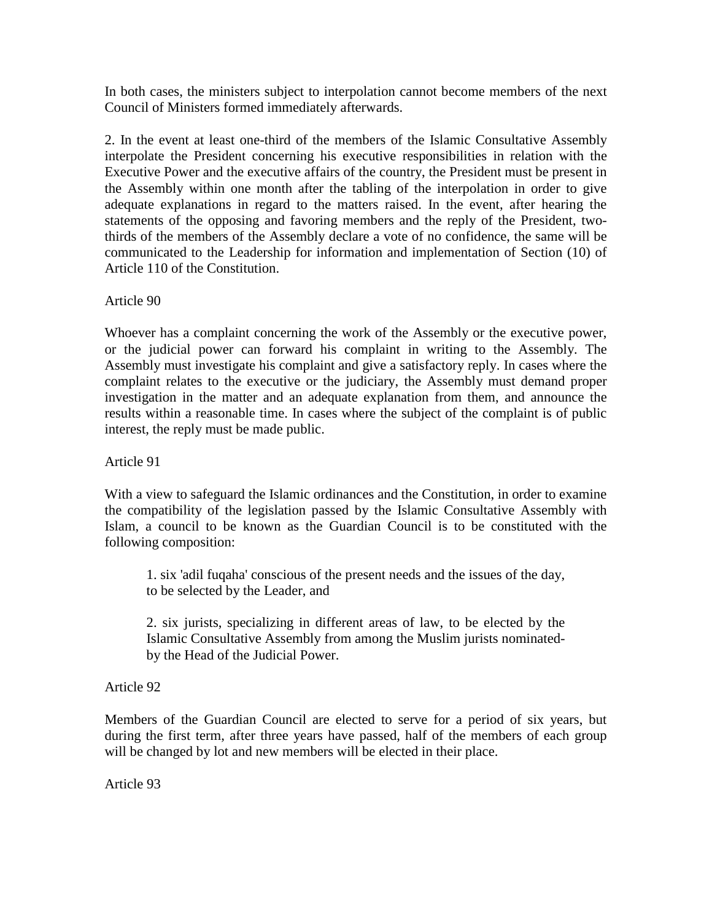In both cases, the ministers subject to interpolation cannot become members of the next Council of Ministers formed immediately afterwards.

 statements of the opposing and favoring members and the reply of the President, two- thirds of the members of the Assembly declare a vote of no confidence, the same will be 2. In the event at least one-third of the members of the Islamic Consultative Assembly interpolate the President concerning his executive responsibilities in relation with the Executive Power and the executive affairs of the country, the President must be present in the Assembly within one month after the tabling of the interpolation in order to give adequate explanations in regard to the matters raised. In the event, after hearing the communicated to the Leadership for information and implementation of Section (10) of Article 110 of the Constitution.

## Article 90

 Assembly must investigate his complaint and give a satisfactory reply. In cases where the Whoever has a complaint concerning the work of the Assembly or the executive power, or the judicial power can forward his complaint in writing to the Assembly. The complaint relates to the executive or the judiciary, the Assembly must demand proper investigation in the matter and an adequate explanation from them, and announce the results within a reasonable time. In cases where the subject of the complaint is of public interest, the reply must be made public.

## Article 91

 the compatibility of the legislation passed by the Islamic Consultative Assembly with With a view to safeguard the Islamic ordinances and the Constitution, in order to examine Islam, a council to be known as the Guardian Council is to be constituted with the following composition:

1. six 'adil fuqaha' conscious of the present needs and the issues of the day, to be selected by the Leader, and

2. six jurists, specializing in different areas of law, to be elected by the Islamic Consultative Assembly from among the Muslim jurists nominatedby the Head of the Judicial Power.

# Article 92

 will be changed by lot and new members will be elected in their place. Article 93 Members of the Guardian Council are elected to serve for a period of six years, but during the first term, after three years have passed, half of the members of each group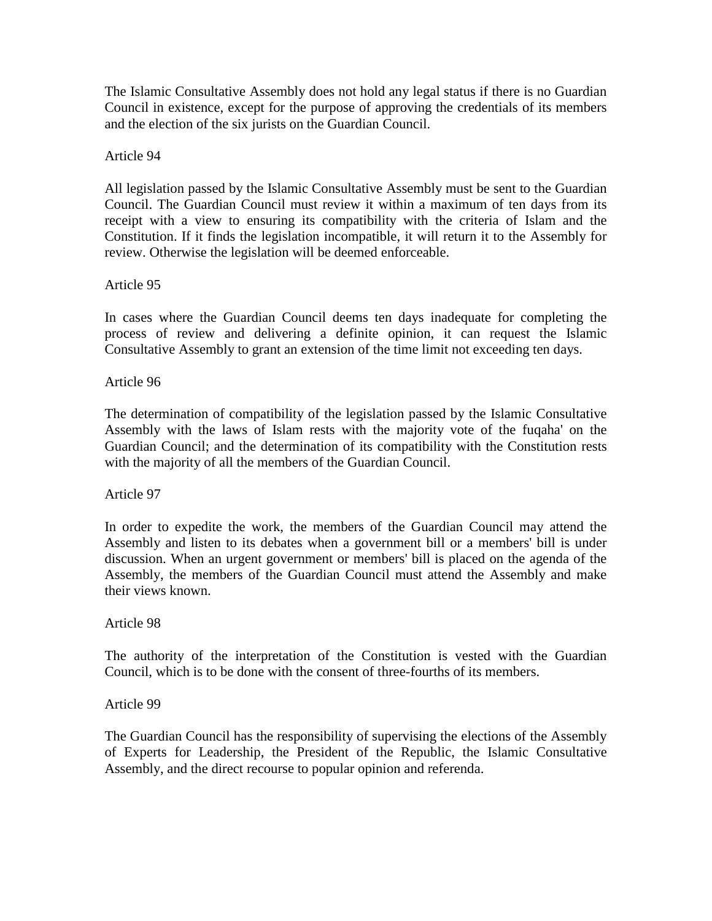The Islamic Consultative Assembly does not hold any legal status if there is no Guardian Council in existence, except for the purpose of approving the credentials of its members and the election of the six jurists on the Guardian Council.

## Article 94

 All legislation passed by the Islamic Consultative Assembly must be sent to the Guardian Council. The Guardian Council must review it within a maximum of ten days from its receipt with a view to ensuring its compatibility with the criteria of Islam and the Constitution. If it finds the legislation incompatible, it will return it to the Assembly for review. Otherwise the legislation will be deemed enforceable.

### Article 95

In cases where the Guardian Council deems ten days inadequate for completing the process of review and delivering a definite opinion, it can request the Islamic Consultative Assembly to grant an extension of the time limit not exceeding ten days.

### Article 96

The determination of compatibility of the legislation passed by the Islamic Consultative Assembly with the laws of Islam rests with the majority vote of the fuqaha' on the Guardian Council; and the determination of its compatibility with the Constitution rests with the majority of all the members of the Guardian Council.

Article 97

In order to expedite the work, the members of the Guardian Council may attend the Assembly and listen to its debates when a government bill or a members' bill is under discussion. When an urgent government or members' bill is placed on the agenda of the Assembly, the members of the Guardian Council must attend the Assembly and make their views known.

### Article 98

The authority of the interpretation of the Constitution is vested with the Guardian Council, which is to be done with the consent of three-fourths of its members.

### Article 99

The Guardian Council has the responsibility of supervising the elections of the Assembly of Experts for Leadership, the President of the Republic, the Islamic Consultative Assembly, and the direct recourse to popular opinion and referenda.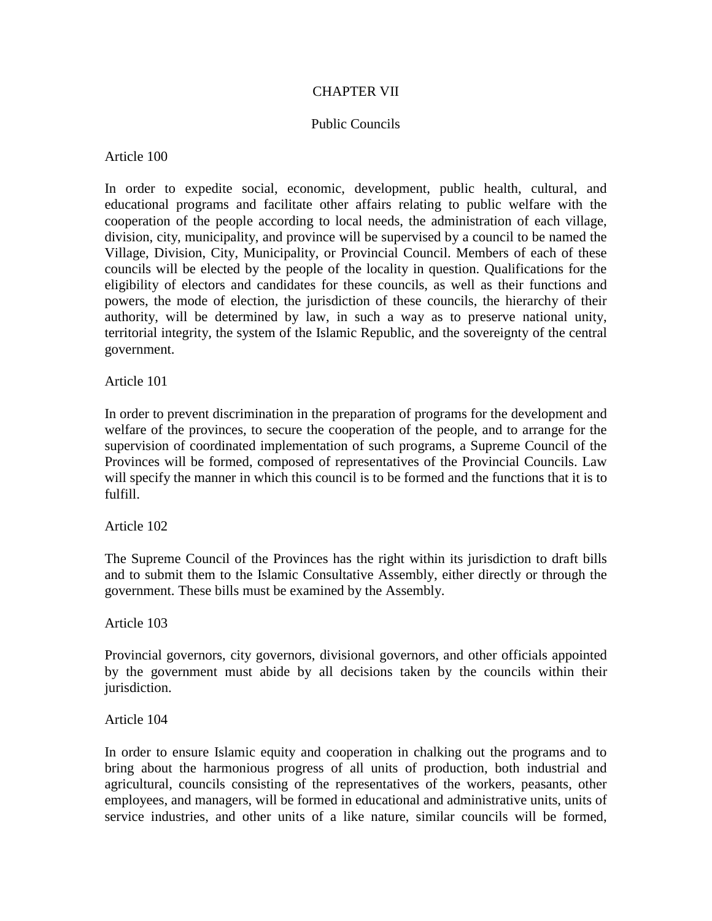#### CHAPTER VII

#### Public Councils

Article 100

 powers, the mode of election, the jurisdiction of these councils, the hierarchy of their authority, will be determined by law, in such a way as to preserve national unity, In order to expedite social, economic, development, public health, cultural, and educational programs and facilitate other affairs relating to public welfare with the cooperation of the people according to local needs, the administration of each village, division, city, municipality, and province will be supervised by a council to be named the Village, Division, City, Municipality, or Provincial Council. Members of each of these councils will be elected by the people of the locality in question. Qualifications for the eligibility of electors and candidates for these councils, as well as their functions and territorial integrity, the system of the Islamic Republic, and the sovereignty of the central government.

Article 101

In order to prevent discrimination in the preparation of programs for the development and welfare of the provinces, to secure the cooperation of the people, and to arrange for the supervision of coordinated implementation of such programs, a Supreme Council of the Provinces will be formed, composed of representatives of the Provincial Councils. Law will specify the manner in which this council is to be formed and the functions that it is to fulfill.

Article 102

The Supreme Council of the Provinces has the right within its jurisdiction to draft bills and to submit them to the Islamic Consultative Assembly, either directly or through the government. These bills must be examined by the Assembly.

Article 103

Provincial governors, city governors, divisional governors, and other officials appointed by the government must abide by all decisions taken by the councils within their jurisdiction.

Article 104

In order to ensure Islamic equity and cooperation in chalking out the programs and to bring about the harmonious progress of all units of production, both industrial and agricultural, councils consisting of the representatives of the workers, peasants, other employees, and managers, will be formed in educational and administrative units, units of service industries, and other units of a like nature, similar councils will be formed,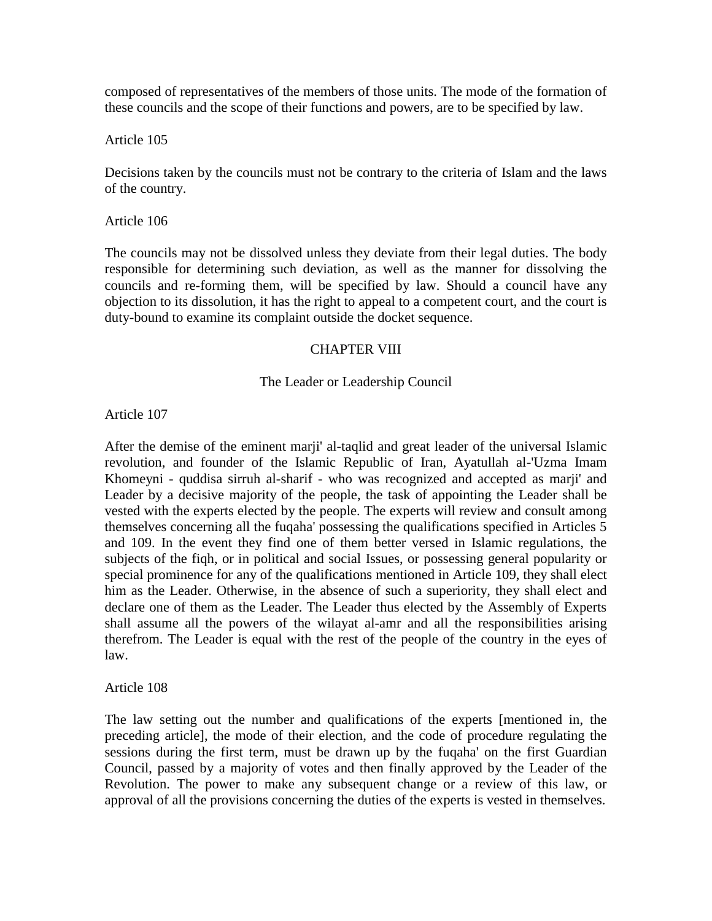composed of representatives of the members of those units. The mode of the formation of these councils and the scope of their functions and powers, are to be specified by law.

Article 105

Decisions taken by the councils must not be contrary to the criteria of Islam and the laws of the country.

Article 106

The councils may not be dissolved unless they deviate from their legal duties. The body responsible for determining such deviation, as well as the manner for dissolving the councils and re-forming them, will be specified by law. Should a council have any objection to its dissolution, it has the right to appeal to a competent court, and the court is duty-bound to examine its complaint outside the docket sequence.

### CHAPTER VIII

### The Leader or Leadership Council

Article 107

 subjects of the fiqh, or in political and social Issues, or possessing general popularity or After the demise of the eminent marji' al-taqlid and great leader of the universal Islamic revolution, and founder of the Islamic Republic of Iran, Ayatullah al-'Uzma Imam Khomeyni - quddisa sirruh al-sharif - who was recognized and accepted as marji' and Leader by a decisive majority of the people, the task of appointing the Leader shall be vested with the experts elected by the people. The experts will review and consult among themselves concerning all the fuqaha' possessing the qualifications specified in Articles 5 and 109. In the event they find one of them better versed in Islamic regulations, the special prominence for any of the qualifications mentioned in Article 109, they shall elect him as the Leader. Otherwise, in the absence of such a superiority, they shall elect and declare one of them as the Leader. The Leader thus elected by the Assembly of Experts shall assume all the powers of the wilayat al-amr and all the responsibilities arising therefrom. The Leader is equal with the rest of the people of the country in the eyes of law.

Article 108

The law setting out the number and qualifications of the experts [mentioned in, the preceding article], the mode of their election, and the code of procedure regulating the sessions during the first term, must be drawn up by the fuqaha' on the first Guardian Council, passed by a majority of votes and then finally approved by the Leader of the Revolution. The power to make any subsequent change or a review of this law, or approval of all the provisions concerning the duties of the experts is vested in themselves.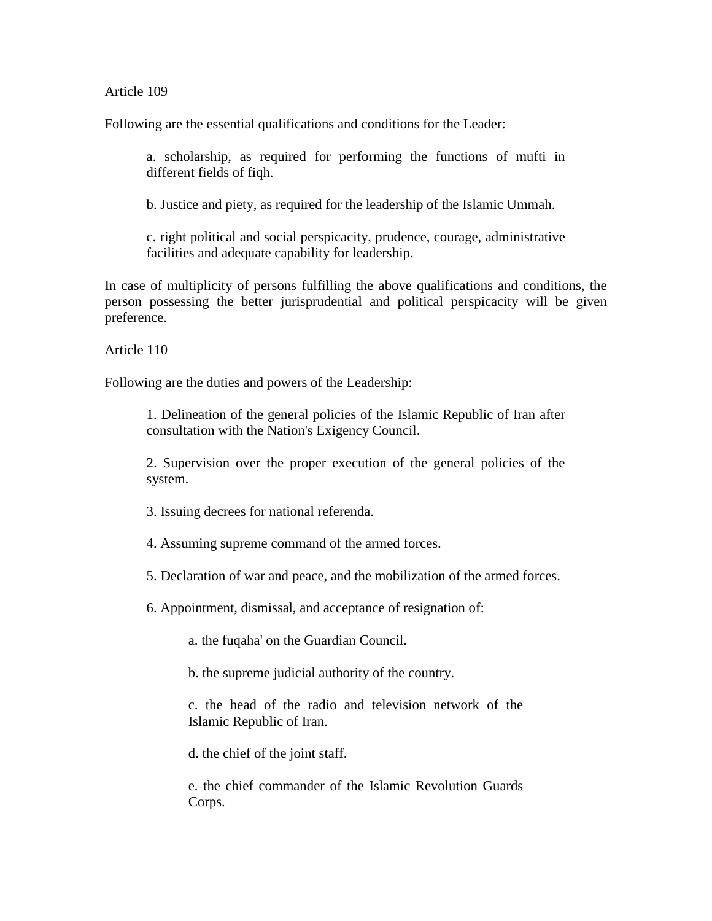Following are the essential qualifications and conditions for the Leader:

a. scholarship, as required for performing the functions of mufti in different fields of fiqh.

b. Justice and piety, as required for the leadership of the Islamic Ummah.

c. right political and social perspicacity, prudence, courage, administrative facilities and adequate capability for leadership.

In case of multiplicity of persons fulfilling the above qualifications and conditions, the person possessing the better jurisprudential and political perspicacity will be given preference.

Article 110

Following are the duties and powers of the Leadership:

Following are the duties and powers of the Leadership:<br>1. Delineation of the general policies of the Islamic Republic of Iran after consultation with the Nation's Exigency Council.

2. Supervision over the proper execution of the general policies of the system.

3. Issuing decrees for national referenda.

4. Assuming supreme command of the armed forces.

5. Declaration of war and peace, and the mobilization of the armed forces.

6. Appointment, dismissal, and acceptance of resignation of:

a. the fuqaha' on the Guardian Council.

b. the supreme judicial authority of the country.

 Islamic Republic of Iran. c. the head of the radio and television network of the

d. the chief of the joint staff.

d. the chief of the joint staff.<br>
e. the chief commander of the Islamic Revolution Guards Corps.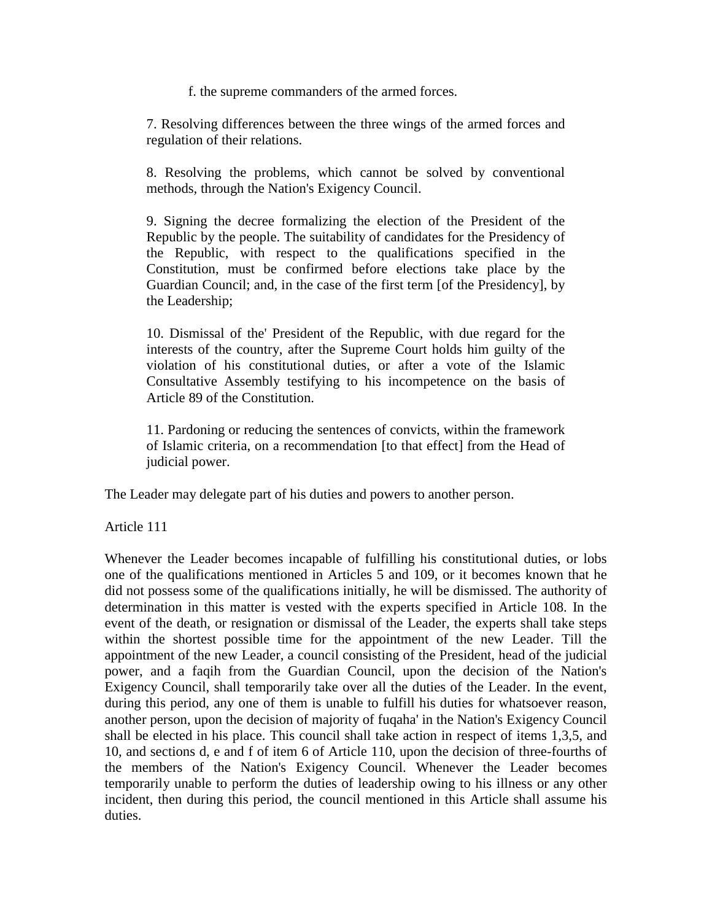f. the supreme commanders of the armed forces.

7. Resolving differences between the three wings of the armed forces and regulation of their relations.

8. Resolving the problems, which cannot be solved by conventional methods, through the Nation's Exigency Council.

9. Signing the decree formalizing the election of the President of the Republic by the people. The suitability of candidates for the Presidency of the Republic, with respect to the qualifications specified in the Constitution, must be confirmed before elections take place by the Guardian Council; and, in the case of the first term [of the Presidency], by the Leadership;

 violation of his constitutional duties, or after a vote of the Islamic 10. Dismissal of the' President of the Republic, with due regard for the interests of the country, after the Supreme Court holds him guilty of the Consultative Assembly testifying to his incompetence on the basis of Article 89 of the Constitution.

11. Pardoning or reducing the sentences of convicts, within the framework of Islamic criteria, on a recommendation [to that effect] from the Head of judicial power.

The Leader may delegate part of his duties and powers to another person.

Article 111

Whenever the Leader becomes incapable of fulfilling his constitutional duties, or lobs one of the qualifications mentioned in Articles 5 and 109, or it becomes known that he did not possess some of the qualifications initially, he will be dismissed. The authority of determination in this matter is vested with the experts specified in Article 108. In the event of the death, or resignation or dismissal of the Leader, the experts shall take steps within the shortest possible time for the appointment of the new Leader. Till the appointment of the new Leader, a council consisting of the President, head of the judicial power, and a faqih from the Guardian Council, upon the decision of the Nation's Exigency Council, shall temporarily take over all the duties of the Leader. In the event, during this period, any one of them is unable to fulfill his duties for whatsoever reason, another person, upon the decision of majority of fuqaha' in the Nation's Exigency Council shall be elected in his place. This council shall take action in respect of items 1,3,5, and 10, and sections d, e and f of item 6 of Article 110, upon the decision of three-fourths of the members of the Nation's Exigency Council. Whenever the Leader becomes temporarily unable to perform the duties of leadership owing to his illness or any other incident, then during this period, the council mentioned in this Article shall assume his duties.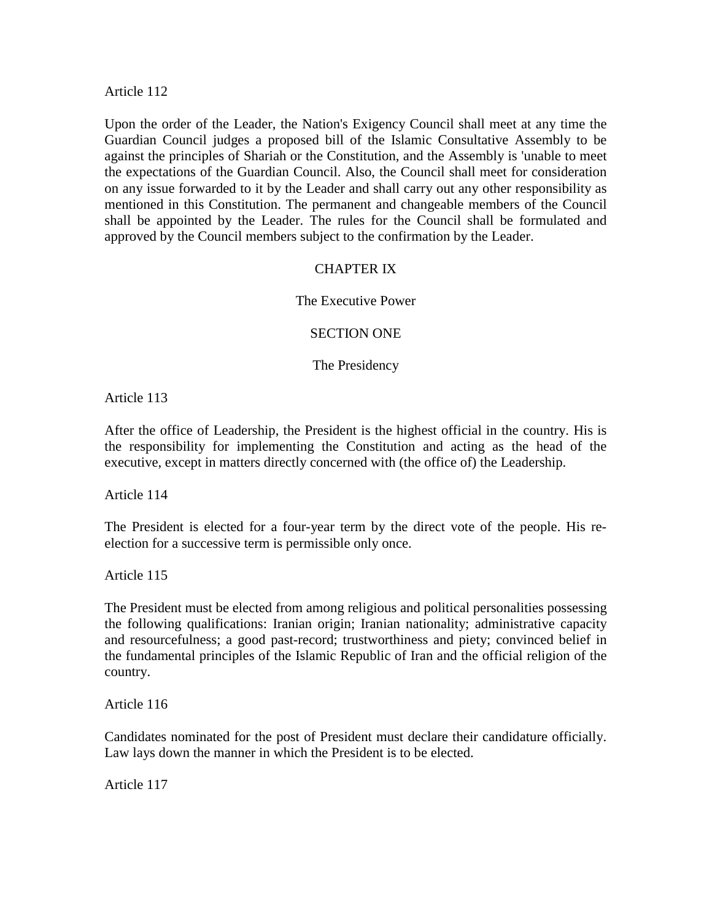Upon the order of the Leader, the Nation's Exigency Council shall meet at any time the Guardian Council judges a proposed bill of the Islamic Consultative Assembly to be against the principles of Shariah or the Constitution, and the Assembly is 'unable to meet the expectations of the Guardian Council. Also, the Council shall meet for consideration on any issue forwarded to it by the Leader and shall carry out any other responsibility as mentioned in this Constitution. The permanent and changeable members of the Council shall be appointed by the Leader. The rules for the Council shall be formulated and approved by the Council members subject to the confirmation by the Leader.

# CHAPTER IX

The Executive Power

### SECTION ONE

The Presidency

Article 113

After the office of Leadership, the President is the highest official in the country. His is the responsibility for implementing the Constitution and acting as the head of the executive, except in matters directly concerned with (the office of) the Leadership.

Article 114

The President is elected for a four-year term by the direct vote of the people. His reelection for a successive term is permissible only once.

Article 115

The President must be elected from among religious and political personalities possessing the following qualifications: Iranian origin; Iranian nationality; administrative capacity and resourcefulness; a good past-record; trustworthiness and piety; convinced belief in the fundamental principles of the Islamic Republic of Iran and the official religion of the country.

Article 116

Candidates nominated for the post of President must declare their candidature officially. Law lays down the manner in which the President is to be elected.

Article 117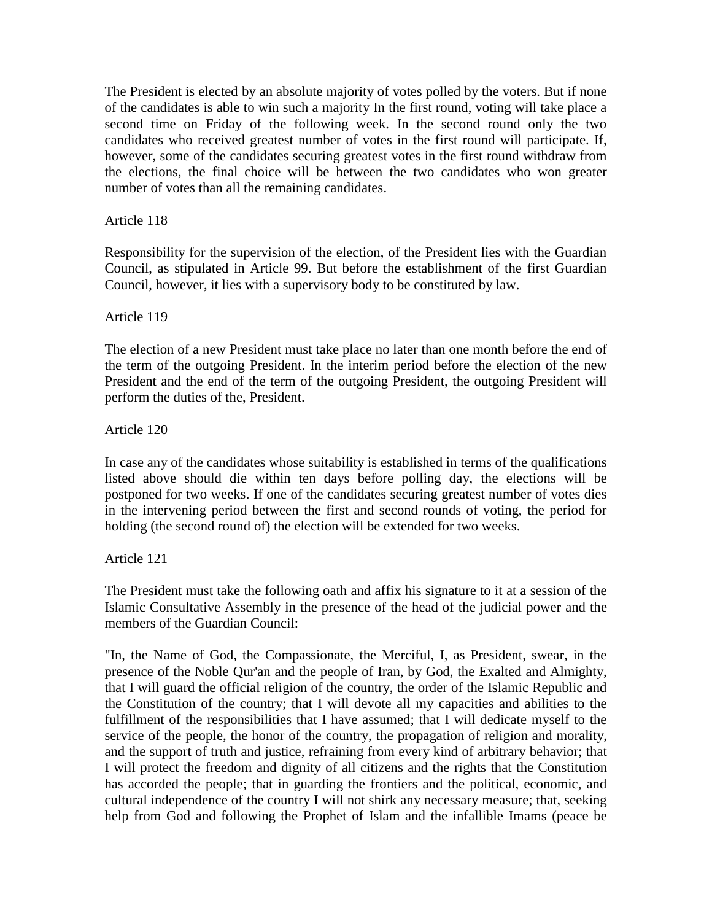The President is elected by an absolute majority of votes polled by the voters. But if none number of votes than all the remaining candidates. Article 118 of the candidates is able to win such a majority In the first round, voting will take place a second time on Friday of the following week. In the second round only the two candidates who received greatest number of votes in the first round will participate. If, however, some of the candidates securing greatest votes in the first round withdraw from the elections, the final choice will be between the two candidates who won greater

Responsibility for the supervision of the election, of the President lies with the Guardian Council, as stipulated in Article 99. But before the establishment of the first Guardian Council, however, it lies with a supervisory body to be constituted by law.

Article 119

The election of a new President must take place no later than one month before the end of the term of the outgoing President. In the interim period before the election of the new President and the end of the term of the outgoing President, the outgoing President will perform the duties of the, President.

Article 120

In case any of the candidates whose suitability is established in terms of the qualifications listed above should die within ten days before polling day, the elections will be postponed for two weeks. If one of the candidates securing greatest number of votes dies in the intervening period between the first and second rounds of voting, the period for holding (the second round of) the election will be extended for two weeks.

Article 121

The President must take the following oath and affix his signature to it at a session of the Islamic Consultative Assembly in the presence of the head of the judicial power and the members of the Guardian Council:

 I will protect the freedom and dignity of all citizens and the rights that the Constitution cultural independence of the country I will not shirk any necessary measure; that, seeking "In, the Name of God, the Compassionate, the Merciful, I, as President, swear, in the presence of the Noble Qur'an and the people of Iran, by God, the Exalted and Almighty, that I will guard the official religion of the country, the order of the Islamic Republic and the Constitution of the country; that I will devote all my capacities and abilities to the fulfillment of the responsibilities that I have assumed; that I will dedicate myself to the service of the people, the honor of the country, the propagation of religion and morality, and the support of truth and justice, refraining from every kind of arbitrary behavior; that has accorded the people; that in guarding the frontiers and the political, economic, and help from God and following the Prophet of Islam and the infallible Imams (peace be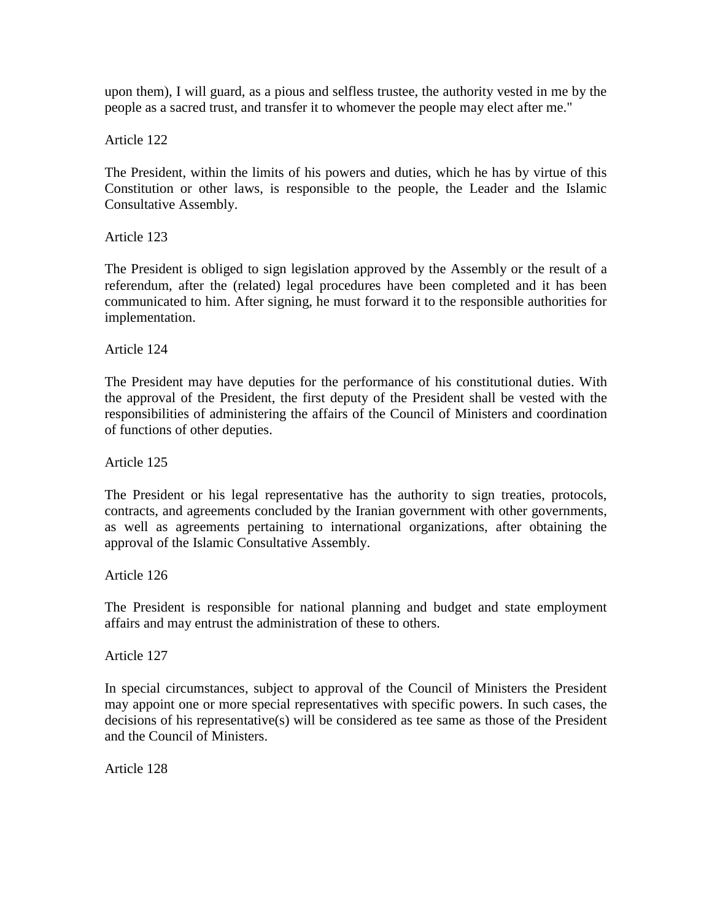people as a sacred trust, and transfer it to whomever the people may elect after me." Article 122 upon them), I will guard, as a pious and selfless trustee, the authority vested in me by the

The President, within the limits of his powers and duties, which he has by virtue of this Constitution or other laws, is responsible to the people, the Leader and the Islamic Consultative Assembly.

Article 123

The President is obliged to sign legislation approved by the Assembly or the result of a referendum, after the (related) legal procedures have been completed and it has been communicated to him. After signing, he must forward it to the responsible authorities for implementation.

Article 124

The President may have deputies for the performance of his constitutional duties. With the approval of the President, the first deputy of the President shall be vested with the responsibilities of administering the affairs of the Council of Ministers and coordination of functions of other deputies.

Article 125

The President or his legal representative has the authority to sign treaties, protocols, contracts, and agreements concluded by the Iranian government with other governments, as well as agreements pertaining to international organizations, after obtaining the approval of the Islamic Consultative Assembly.

Article 126

The President is responsible for national planning and budget and state employment affairs and may entrust the administration of these to others.

Article 127

In special circumstances, subject to approval of the Council of Ministers the President may appoint one or more special representatives with specific powers. In such cases, the decisions of his representative(s) will be considered as tee same as those of the President and the Council of Ministers.

Article 128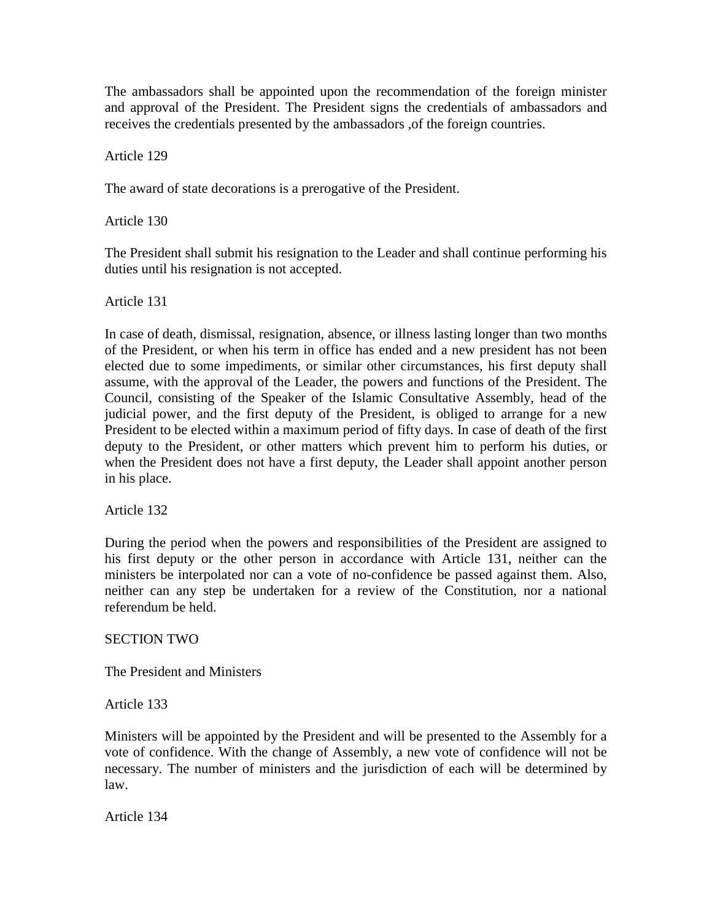The ambassadors shall be appointed upon the recommendation of the foreign minister and approval of the President. The President signs the credentials of ambassadors and receives the credentials presented by the ambassadors, of the foreign countries.

Article 129

The award of state decorations is a prerogative of the President. Article 130

The President shall submit his resignation to the Leader and shall continue performing his duties until his resignation is not accepted.

Article 131

In case of death, dismissal, resignation, absence, or illness lasting longer than two months of the President, or when his term in office has ended and a new president has not been elected due to some impediments, or similar other circumstances, his first deputy shall assume, with the approval of the Leader, the powers and functions of the President. The Council, consisting of the Speaker of the Islamic Consultative Assembly, head of the judicial power, and the first deputy of the President, is obliged to arrange for a new President to be elected within a maximum period of fifty days. In case of death of the first deputy to the President, or other matters which prevent him to perform his duties, or when the President does not have a first deputy, the Leader shall appoint another person in his place.

Article 132

During the period when the powers and responsibilities of the President are assigned to his first deputy or the other person in accordance with Article 131, neither can the ministers be interpolated nor can a vote of no-confidence be passed against them. Also, neither can any step be undertaken for a review of the Constitution, nor a national referendum be held.

SECTION TWO

The President and Ministers

Article 133

Ministers will be appointed by the President and will be presented to the Assembly for a vote of confidence. With the change of Assembly, a new vote of confidence will not be necessary. The number of ministers and the jurisdiction of each will be determined by law.

Article 134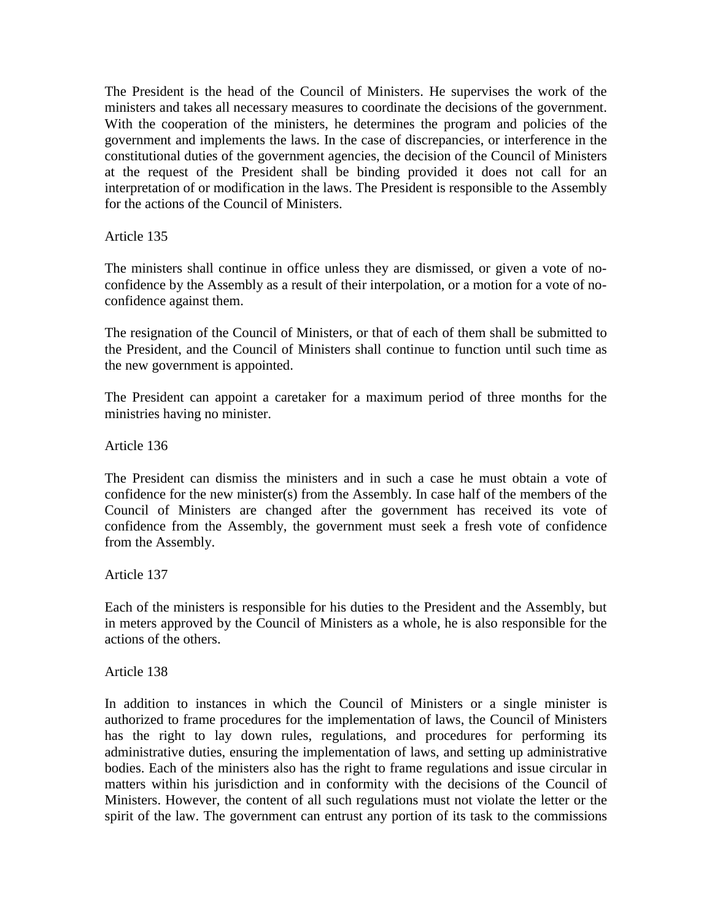at the request of the President shall be binding provided it does not call for an The President is the head of the Council of Ministers. He supervises the work of the ministers and takes all necessary measures to coordinate the decisions of the government. With the cooperation of the ministers, he determines the program and policies of the government and implements the laws. In the case of discrepancies, or interference in the constitutional duties of the government agencies, the decision of the Council of Ministers interpretation of or modification in the laws. The President is responsible to the Assembly for the actions of the Council of Ministers.

Article 135

The ministers shall continue in office unless they are dismissed, or given a vote of noconfidence by the Assembly as a result of their interpolation, or a motion for a vote of noconfidence against them.

The resignation of the Council of Ministers, or that of each of them shall be submitted to the President, and the Council of Ministers shall continue to function until such time as the new government is appointed.

 ministries having no minister. Article 136 The President can appoint a caretaker for a maximum period of three months for the

The President can dismiss the ministers and in such a case he must obtain a vote of confidence for the new minister(s) from the Assembly. In case half of the members of the Council of Ministers are changed after the government has received its vote of confidence from the Assembly, the government must seek a fresh vote of confidence from the Assembly.

Article 137

Each of the ministers is responsible for his duties to the President and the Assembly, but in meters approved by the Council of Ministers as a whole, he is also responsible for the actions of the others.

Article 138

In addition to instances in which the Council of Ministers or a single minister is authorized to frame procedures for the implementation of laws, the Council of Ministers has the right to lay down rules, regulations, and procedures for performing its administrative duties, ensuring the implementation of laws, and setting up administrative bodies. Each of the ministers also has the right to frame regulations and issue circular in matters within his jurisdiction and in conformity with the decisions of the Council of Ministers. However, the content of all such regulations must not violate the letter or the spirit of the law. The government can entrust any portion of its task to the commissions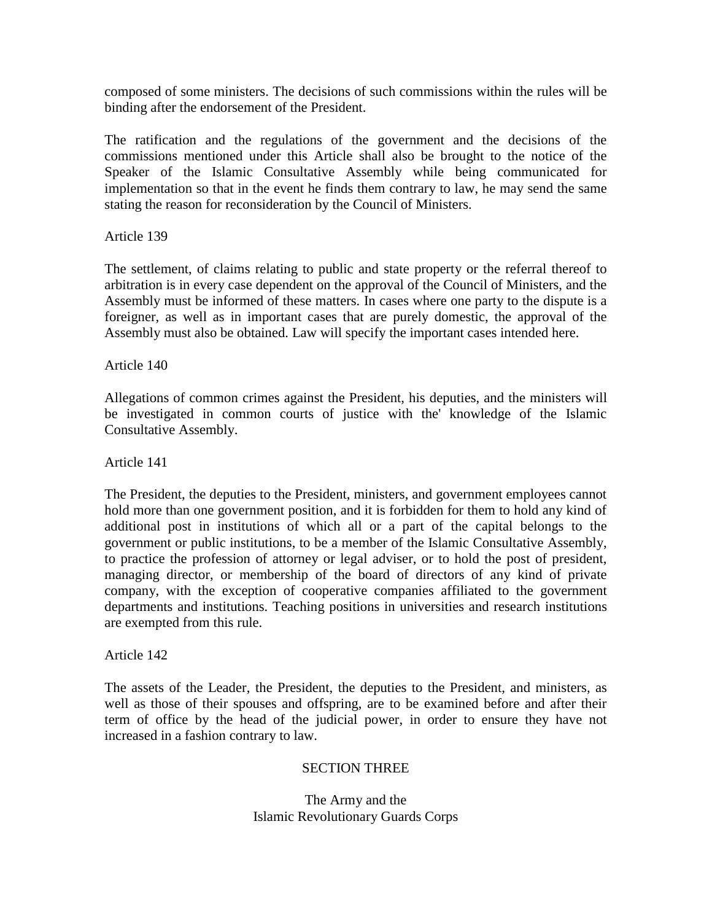composed of some ministers. The decisions of such commissions within the rules will be binding after the endorsement of the President.

The ratification and the regulations of the government and the decisions of the commissions mentioned under this Article shall also be brought to the notice of the Speaker of the Islamic Consultative Assembly while being communicated for implementation so that in the event he finds them contrary to law, he may send the same stating the reason for reconsideration by the Council of Ministers.

Article 139

The settlement, of claims relating to public and state property or the referral thereof to arbitration is in every case dependent on the approval of the Council of Ministers, and the Assembly must be informed of these matters. In cases where one party to the dispute is a foreigner, as well as in important cases that are purely domestic, the approval of the Assembly must also be obtained. Law will specify the important cases intended here.

Article 140

Allegations of common crimes against the President, his deputies, and the ministers will be investigated in common courts of justice with the' knowledge of the Islamic Consultative Assembly.

Article 141

The President, the deputies to the President, ministers, and government employees cannot hold more than one government position, and it is forbidden for them to hold any kind of additional post in institutions of which all or a part of the capital belongs to the government or public institutions, to be a member of the Islamic Consultative Assembly, to practice the profession of attorney or legal adviser, or to hold the post of president, managing director, or membership of the board of directors of any kind of private company, with the exception of cooperative companies affiliated to the government departments and institutions. Teaching positions in universities and research institutions are exempted from this rule.

Article 142

The assets of the Leader, the President, the deputies to the President, and ministers, as well as those of their spouses and offspring, are to be examined before and after their term of office by the head of the judicial power, in order to ensure they have not increased in a fashion contrary to law.

### SECTION THREE

The Army and the Islamic Revolutionary Guards Corps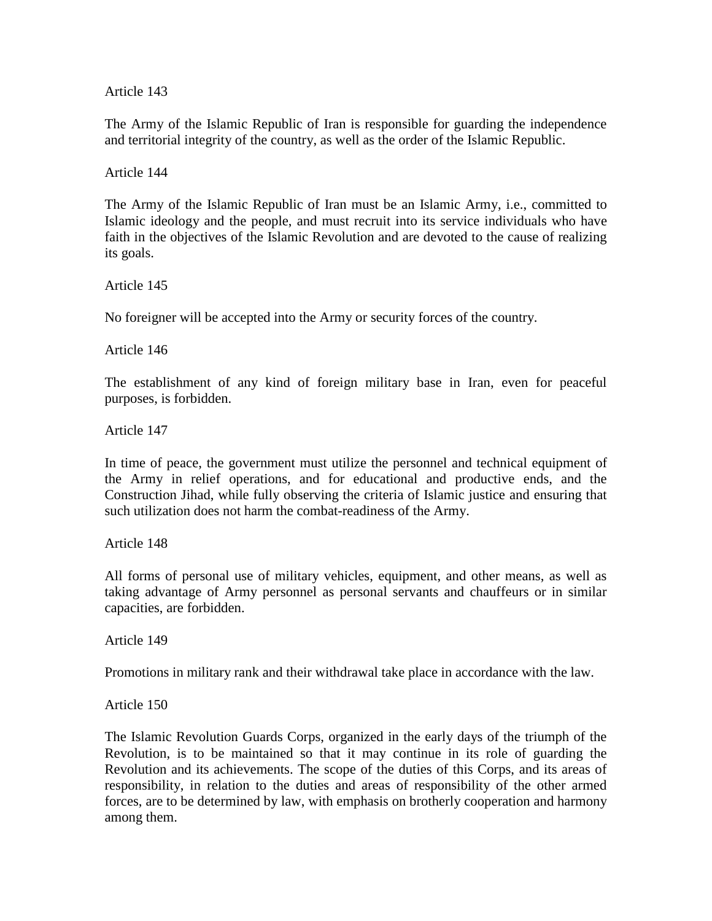The Army of the Islamic Republic of Iran is responsible for guarding the independence and territorial integrity of the country, as well as the order of the Islamic Republic.

Article 144

 faith in the objectives of the Islamic Revolution and are devoted to the cause of realizing The Army of the Islamic Republic of Iran must be an Islamic Army, i.e., committed to Islamic ideology and the people, and must recruit into its service individuals who have its goals.

Article 145

No foreigner will be accepted into the Army or security forces of the country. Article 146

The establishment of any kind of foreign military base in Iran, even for peaceful purposes, is forbidden.

Article 147

In time of peace, the government must utilize the personnel and technical equipment of the Army in relief operations, and for educational and productive ends, and the Construction Jihad, while fully observing the criteria of Islamic justice and ensuring that such utilization does not harm the combat-readiness of the Army.

Article 148

 capacities, are forbidden. All forms of personal use of military vehicles, equipment, and other means, as well as taking advantage of Army personnel as personal servants and chauffeurs or in similar

Article 149

Promotions in military rank and their withdrawal take place in accordance with the law.

Article 150

The Islamic Revolution Guards Corps, organized in the early days of the triumph of the Revolution, is to be maintained so that it may continue in its role of guarding the Revolution and its achievements. The scope of the duties of this Corps, and its areas of responsibility, in relation to the duties and areas of responsibility of the other armed forces, are to be determined by law, with emphasis on brotherly cooperation and harmony among them.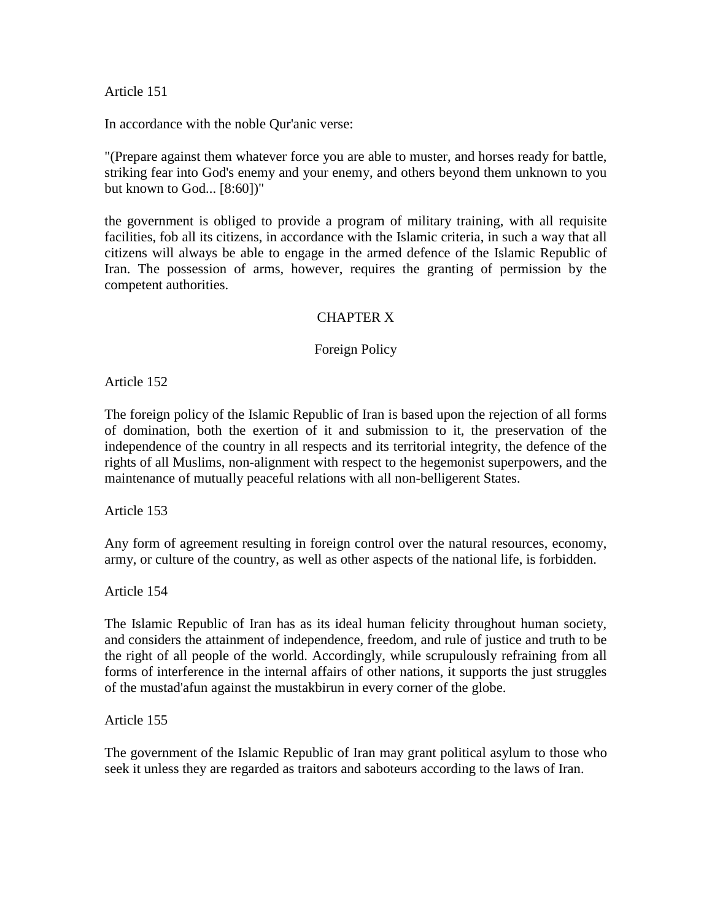In accordance with the noble Qur'anic verse:

In accordance with the noble Qur'anic verse:<br>"(Prepare against them whatever force you are able to muster, and horses ready for battle, but known to God... [8:60])" striking fear into God's enemy and your enemy, and others beyond them unknown to you

the government is obliged to provide a program of military training, with all requisite facilities, fob all its citizens, in accordance with the Islamic criteria, in such a way that all citizens will always be able to engage in the armed defence of the Islamic Republic of Iran. The possession of arms, however, requires the granting of permission by the competent authorities.

## CHAPTER X

### Foreign Policy

Article 152

 The foreign policy of the Islamic Republic of Iran is based upon the rejection of all forms of domination, both the exertion of it and submission to it, the preservation of the independence of the country in all respects and its territorial integrity, the defence of the rights of all Muslims, non-alignment with respect to the hegemonist superpowers, and the maintenance of mutually peaceful relations with all non-belligerent States.

Article 153

Any form of agreement resulting in foreign control over the natural resources, economy, army, or culture of the country, as well as other aspects of the national life, is forbidden.

Article 154

The Islamic Republic of Iran has as its ideal human felicity throughout human society, and considers the attainment of independence, freedom, and rule of justice and truth to be the right of all people of the world. Accordingly, while scrupulously refraining from all forms of interference in the internal affairs of other nations, it supports the just struggles of the mustad'afun against the mustakbirun in every corner of the globe.

Article 155

 The government of the Islamic Republic of Iran may grant political asylum to those who seek it unless they are regarded as traitors and saboteurs according to the laws of Iran.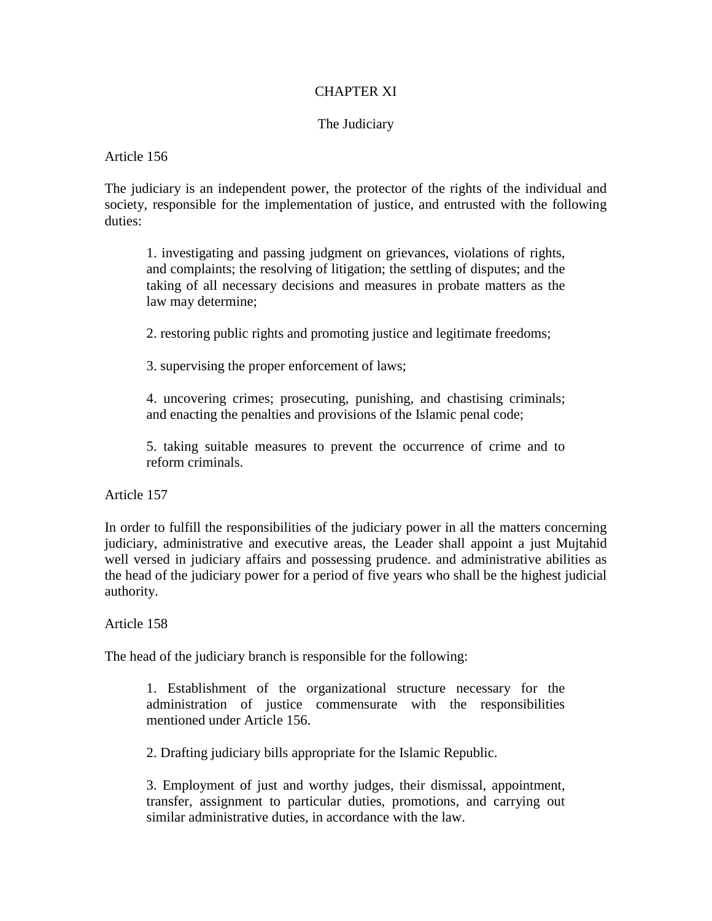## CHAPTER XI

## The Judiciary

### Article 156

The judiciary is an independent power, the protector of the rights of the individual and society, responsible for the implementation of justice, and entrusted with the following duties:

law may determine; 1. investigating and passing judgment on grievances, violations of rights, and complaints; the resolving of litigation; the settling of disputes; and the taking of all necessary decisions and measures in probate matters as the

2. restoring public rights and promoting justice and legitimate freedoms;

3. supervising the proper enforcement of laws;

4. uncovering crimes; prosecuting, punishing, and chastising criminals; and enacting the penalties and provisions of the Islamic penal code;

5. taking suitable measures to prevent the occurrence of crime and to reform criminals.

Article 157

In order to fulfill the responsibilities of the judiciary power in all the matters concerning judiciary, administrative and executive areas, the Leader shall appoint a just Mujtahid well versed in judiciary affairs and possessing prudence. and administrative abilities as the head of the judiciary power for a period of five years who shall be the highest judicial

authority. Article 158

The head of the judiciary branch is responsible for the following:

1. Establishment of the organizational structure necessary for the administration of justice commensurate with the responsibilities mentioned under Article 156.

2. Drafting judiciary bills appropriate for the Islamic Republic.

3. Employment of just and worthy judges, their dismissal, appointment, transfer, assignment to particular duties, promotions, and carrying out similar administrative duties, in accordance with the law.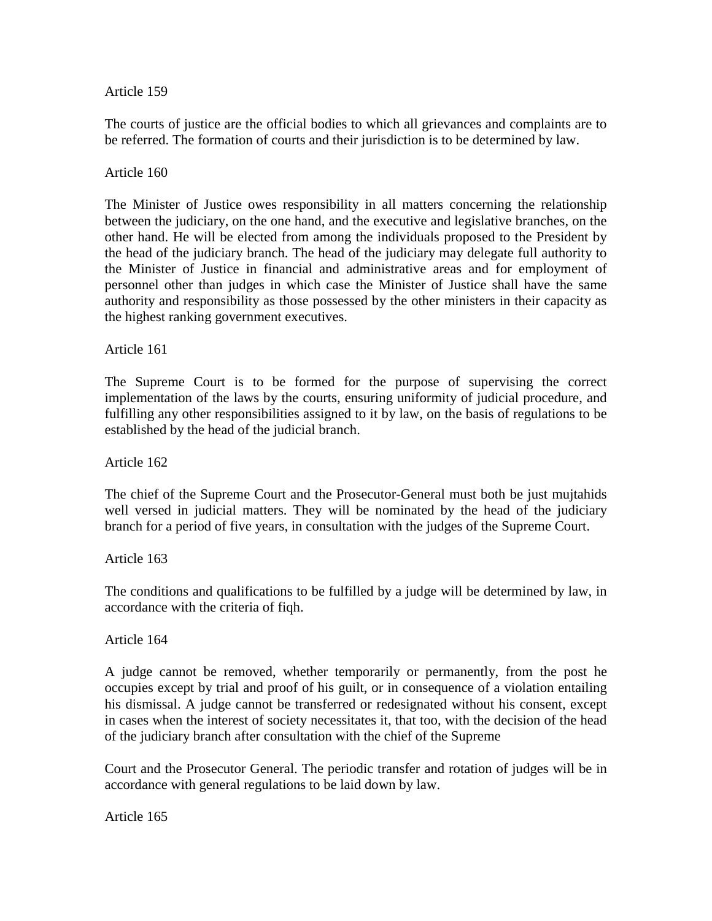The courts of justice are the official bodies to which all grievances and complaints are to be referred. The formation of courts and their jurisdiction is to be determined by law.

### Article 160

The Minister of Justice owes responsibility in all matters concerning the relationship between the judiciary, on the one hand, and the executive and legislative branches, on the other hand. He will be elected from among the individuals proposed to the President by the head of the judiciary branch. The head of the judiciary may delegate full authority to the Minister of Justice in financial and administrative areas and for employment of personnel other than judges in which case the Minister of Justice shall have the same authority and responsibility as those possessed by the other ministers in their capacity as the highest ranking government executives.

### Article 161

The Supreme Court is to be formed for the purpose of supervising the correct implementation of the laws by the courts, ensuring uniformity of judicial procedure, and fulfilling any other responsibilities assigned to it by law, on the basis of regulations to be established by the head of the judicial branch.

Article 162

The chief of the Supreme Court and the Prosecutor-General must both be just mujtahids well versed in judicial matters. They will be nominated by the head of the judiciary branch for a period of five years, in consultation with the judges of the Supreme Court.

Article 163

The conditions and qualifications to be fulfilled by a judge will be determined by law, in accordance with the criteria of fiqh.

Article 164

A judge cannot be removed, whether temporarily or permanently, from the post he occupies except by trial and proof of his guilt, or in consequence of a violation entailing his dismissal. A judge cannot be transferred or redesignated without his consent, except in cases when the interest of society necessitates it, that too, with the decision of the head of the judiciary branch after consultation with the chief of the Supreme

Court and the Prosecutor General. The periodic transfer and rotation of judges will be in accordance with general regulations to be laid down by law.

Article 165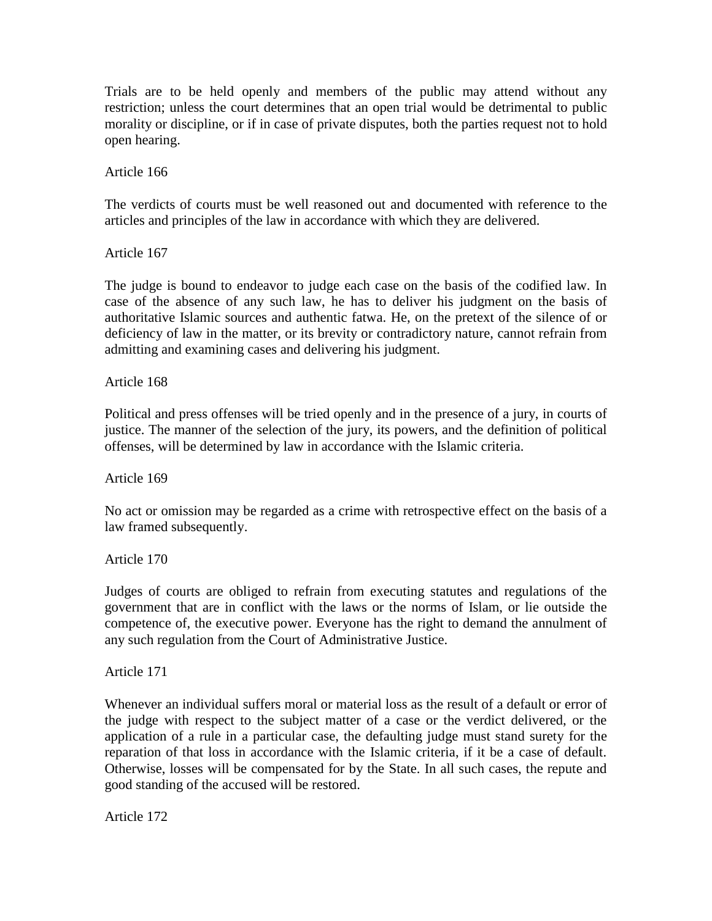open hearing. Article 166 Trials are to be held openly and members of the public may attend without any restriction; unless the court determines that an open trial would be detrimental to public morality or discipline, or if in case of private disputes, both the parties request not to hold

The verdicts of courts must be well reasoned out and documented with reference to the articles and principles of the law in accordance with which they are delivered.

Article 167

The judge is bound to endeavor to judge each case on the basis of the codified law. In case of the absence of any such law, he has to deliver his judgment on the basis of authoritative Islamic sources and authentic fatwa. He, on the pretext of the silence of or deficiency of law in the matter, or its brevity or contradictory nature, cannot refrain from admitting and examining cases and delivering his judgment.

Article 168

 offenses, will be determined by law in accordance with the Islamic criteria. Political and press offenses will be tried openly and in the presence of a jury, in courts of justice. The manner of the selection of the jury, its powers, and the definition of political

Article 169

No act or omission may be regarded as a crime with retrospective effect on the basis of a law framed subsequently.

Article 170

 any such regulation from the Court of Administrative Justice. Article 171 Judges of courts are obliged to refrain from executing statutes and regulations of the government that are in conflict with the laws or the norms of Islam, or lie outside the competence of, the executive power. Everyone has the right to demand the annulment of

 application of a rule in a particular case, the defaulting judge must stand surety for the Whenever an individual suffers moral or material loss as the result of a default or error of the judge with respect to the subject matter of a case or the verdict delivered, or the reparation of that loss in accordance with the Islamic criteria, if it be a case of default. Otherwise, losses will be compensated for by the State. In all such cases, the repute and good standing of the accused will be restored.

Article 172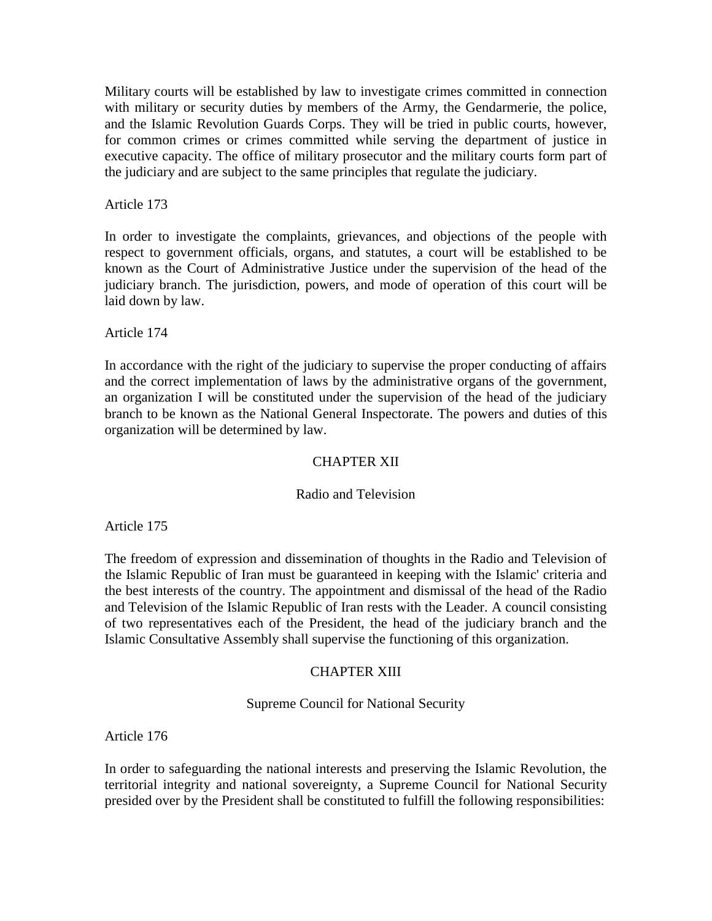the judiciary and are subject to the same principles that regulate the judiciary. Military courts will be established by law to investigate crimes committed in connection with military or security duties by members of the Army, the Gendarmerie, the police, and the Islamic Revolution Guards Corps. They will be tried in public courts, however, for common crimes or crimes committed while serving the department of justice in executive capacity. The office of military prosecutor and the military courts form part of

Article 173

In order to investigate the complaints, grievances, and objections of the people with respect to government officials, organs, and statutes, a court will be established to be known as the Court of Administrative Justice under the supervision of the head of the judiciary branch. The jurisdiction, powers, and mode of operation of this court will be laid down by law.

Article 174

In accordance with the right of the judiciary to supervise the proper conducting of affairs and the correct implementation of laws by the administrative organs of the government, an organization I will be constituted under the supervision of the head of the judiciary branch to be known as the National General Inspectorate. The powers and duties of this organization will be determined by law.

## CHAPTER XII

### Radio and Television

Article 175

The freedom of expression and dissemination of thoughts in the Radio and Television of the Islamic Republic of Iran must be guaranteed in keeping with the Islamic' criteria and the best interests of the country. The appointment and dismissal of the head of the Radio and Television of the Islamic Republic of Iran rests with the Leader. A council consisting of two representatives each of the President, the head of the judiciary branch and the Islamic Consultative Assembly shall supervise the functioning of this organization.

# CHAPTER XIII

# Supreme Council for National Security

Article 176

In order to safeguarding the national interests and preserving the Islamic Revolution, the territorial integrity and national sovereignty, a Supreme Council for National Security presided over by the President shall be constituted to fulfill the following responsibilities: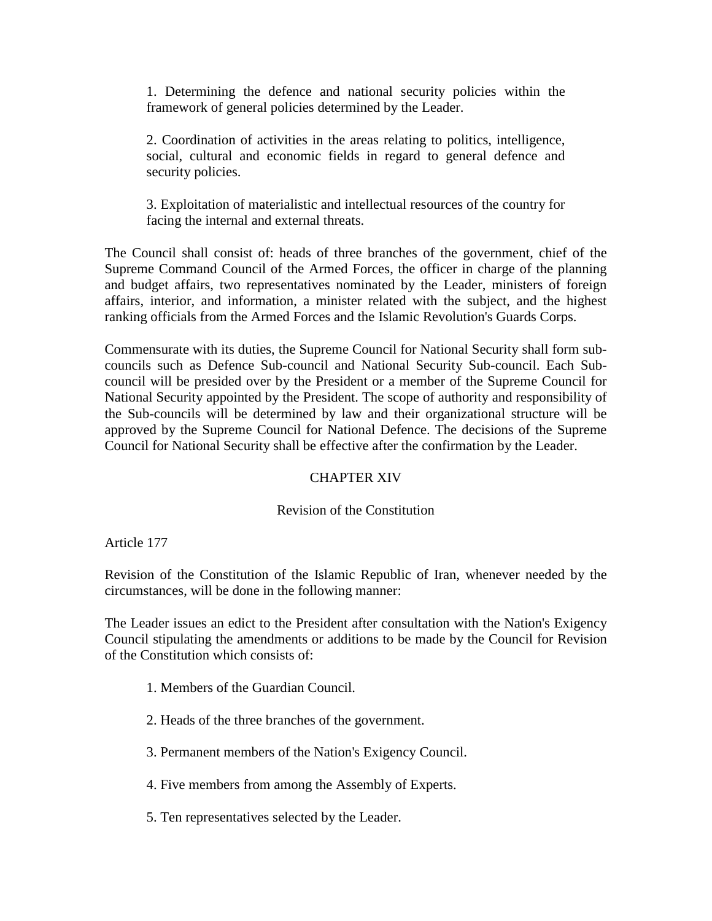1. Determining the defence and national security policies within the framework of general policies determined by the Leader.

2. Coordination of activities in the areas relating to politics, intelligence, social, cultural and economic fields in regard to general defence and security policies.

3. Exploitation of materialistic and intellectual resources of the country for facing the internal and external threats.

The Council shall consist of: heads of three branches of the government, chief of the Supreme Command Council of the Armed Forces, the officer in charge of the planning and budget affairs, two representatives nominated by the Leader, ministers of foreign affairs, interior, and information, a minister related with the subject, and the highest ranking officials from the Armed Forces and the Islamic Revolution's Guards Corps.

Commensurate with its duties, the Supreme Council for National Security shall form subcouncils such as Defence Sub-council and National Security Sub-council. Each Subcouncil will be presided over by the President or a member of the Supreme Council for National Security appointed by the President. The scope of authority and responsibility of the Sub-councils will be determined by law and their organizational structure will be approved by the Supreme Council for National Defence. The decisions of the Supreme Council for National Security shall be effective after the confirmation by the Leader.

### CHAPTER XIV

### Revision of the Constitution

Article 177

Revision of the Constitution of the Islamic Republic of Iran, whenever needed by the circumstances, will be done in the following manner:

The Leader issues an edict to the President after consultation with the Nation's Exigency Council stipulating the amendments or additions to be made by the Council for Revision of the Constitution which consists of:

- 1. Members of the Guardian Council.
- 2. Heads of the three branches of the government.
- 3. Permanent members of the Nation's Exigency Council.
- 4. Five members from among the Assembly of Experts.
- 5. Ten representatives selected by the Leader.